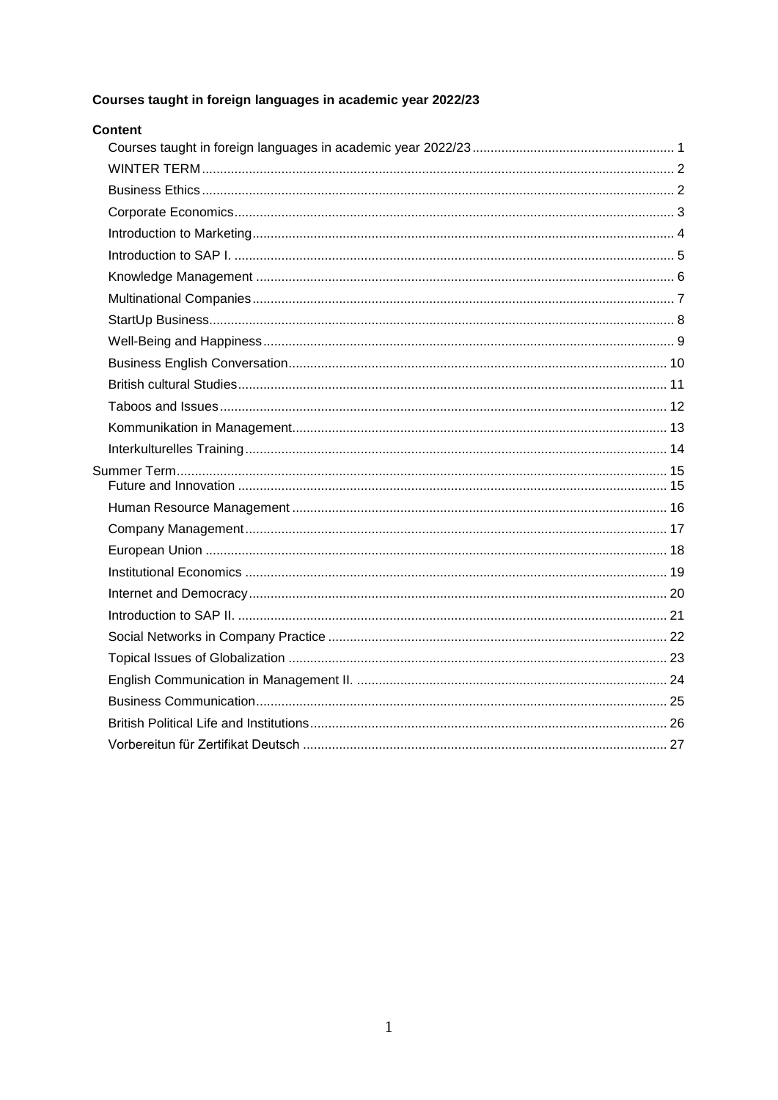## <span id="page-0-0"></span>Courses taught in foreign languages in academic year 2022/23

| <b>Content</b> |  |
|----------------|--|
|                |  |
|                |  |
|                |  |
|                |  |
|                |  |
|                |  |
|                |  |
|                |  |
|                |  |
|                |  |
|                |  |
|                |  |
|                |  |
|                |  |
|                |  |
|                |  |
|                |  |
|                |  |
|                |  |
|                |  |
|                |  |
|                |  |
|                |  |
|                |  |
|                |  |
|                |  |
|                |  |
|                |  |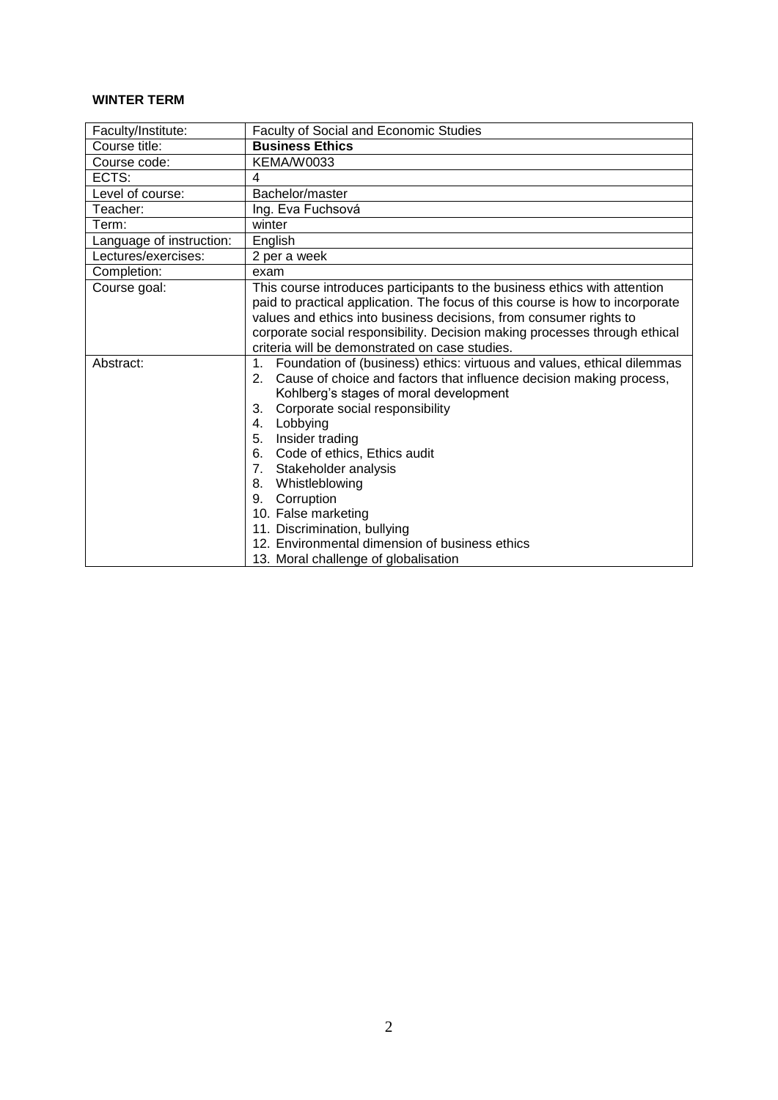## <span id="page-1-0"></span>**WINTER TERM**

<span id="page-1-1"></span>

| Faculty/Institute:       | Faculty of Social and Economic Studies                                                   |
|--------------------------|------------------------------------------------------------------------------------------|
| Course title:            | <b>Business Ethics</b>                                                                   |
| Course code:             | <b>KEMA/W0033</b>                                                                        |
| ECTS:                    | 4                                                                                        |
| Level of course:         | Bachelor/master                                                                          |
| Teacher:                 | Ing. Eva Fuchsová                                                                        |
| Term:                    | winter                                                                                   |
| Language of instruction: | English                                                                                  |
| Lectures/exercises:      | 2 per a week                                                                             |
| Completion:              | exam                                                                                     |
| Course goal:             | This course introduces participants to the business ethics with attention                |
|                          | paid to practical application. The focus of this course is how to incorporate            |
|                          | values and ethics into business decisions, from consumer rights to                       |
|                          | corporate social responsibility. Decision making processes through ethical               |
|                          | criteria will be demonstrated on case studies.                                           |
| Abstract:                | Foundation of (business) ethics: virtuous and values, ethical dilemmas<br>1 <sub>1</sub> |
|                          | Cause of choice and factors that influence decision making process,<br>2.                |
|                          | Kohlberg's stages of moral development                                                   |
|                          | Corporate social responsibility<br>3.                                                    |
|                          | Lobbying<br>4.                                                                           |
|                          | Insider trading<br>5.                                                                    |
|                          | Code of ethics, Ethics audit<br>6.                                                       |
|                          | Stakeholder analysis<br>7.                                                               |
|                          | Whistleblowing<br>8.                                                                     |
|                          | Corruption<br>9.                                                                         |
|                          | 10. False marketing                                                                      |
|                          | 11. Discrimination, bullying                                                             |
|                          | 12. Environmental dimension of business ethics                                           |
|                          | 13. Moral challenge of globalisation                                                     |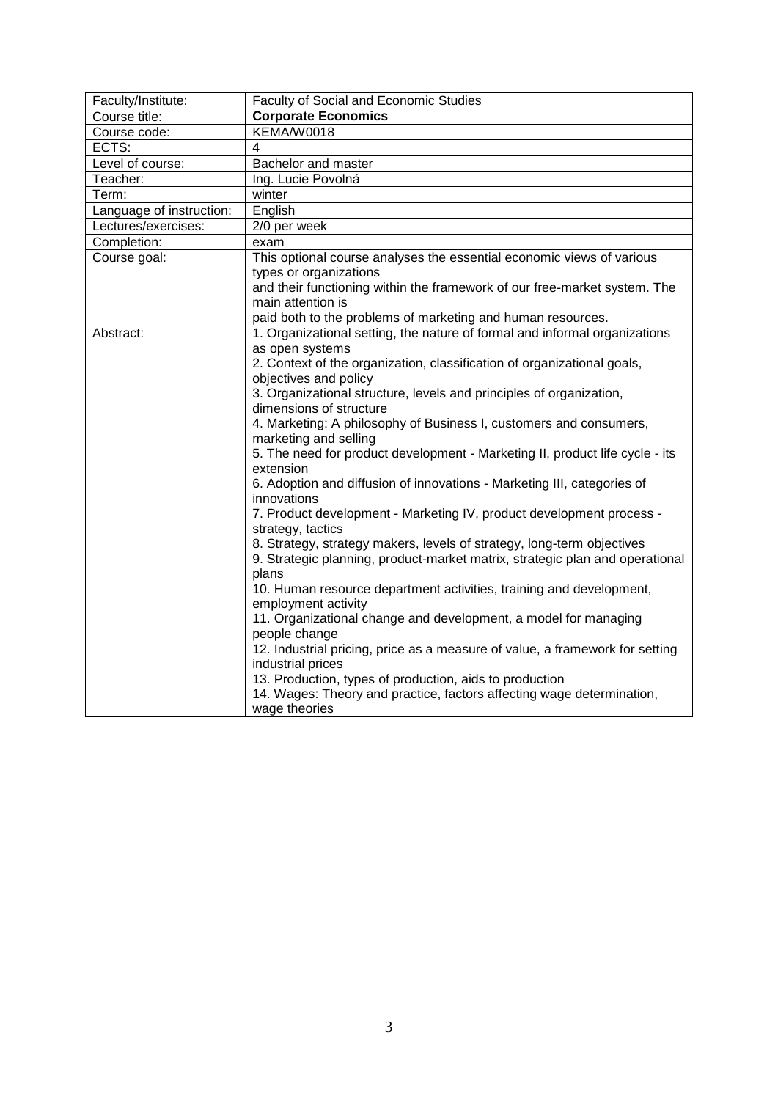<span id="page-2-0"></span>

| Faculty/Institute:       | Faculty of Social and Economic Studies                                                 |
|--------------------------|----------------------------------------------------------------------------------------|
| Course title:            | <b>Corporate Economics</b>                                                             |
| Course code:             | KEMA/W0018                                                                             |
| ECTS:                    | 4                                                                                      |
| Level of course:         | Bachelor and master                                                                    |
| Teacher:                 | Ing. Lucie Povolná                                                                     |
| Term:                    | winter                                                                                 |
| Language of instruction: | English                                                                                |
| Lectures/exercises:      | 2/0 per week                                                                           |
| Completion:              | exam                                                                                   |
| Course goal:             | This optional course analyses the essential economic views of various                  |
|                          | types or organizations                                                                 |
|                          | and their functioning within the framework of our free-market system. The              |
|                          | main attention is                                                                      |
|                          | paid both to the problems of marketing and human resources.                            |
| Abstract:                | 1. Organizational setting, the nature of formal and informal organizations             |
|                          | as open systems                                                                        |
|                          | 2. Context of the organization, classification of organizational goals,                |
|                          | objectives and policy                                                                  |
|                          | 3. Organizational structure, levels and principles of organization,                    |
|                          | dimensions of structure                                                                |
|                          | 4. Marketing: A philosophy of Business I, customers and consumers,                     |
|                          | marketing and selling                                                                  |
|                          | 5. The need for product development - Marketing II, product life cycle - its           |
|                          | extension                                                                              |
|                          | 6. Adoption and diffusion of innovations - Marketing III, categories of<br>innovations |
|                          | 7. Product development - Marketing IV, product development process -                   |
|                          | strategy, tactics                                                                      |
|                          | 8. Strategy, strategy makers, levels of strategy, long-term objectives                 |
|                          | 9. Strategic planning, product-market matrix, strategic plan and operational           |
|                          | plans                                                                                  |
|                          | 10. Human resource department activities, training and development,                    |
|                          | employment activity                                                                    |
|                          | 11. Organizational change and development, a model for managing<br>people change       |
|                          | 12. Industrial pricing, price as a measure of value, a framework for setting           |
|                          | industrial prices                                                                      |
|                          | 13. Production, types of production, aids to production                                |
|                          | 14. Wages: Theory and practice, factors affecting wage determination,                  |
|                          | wage theories                                                                          |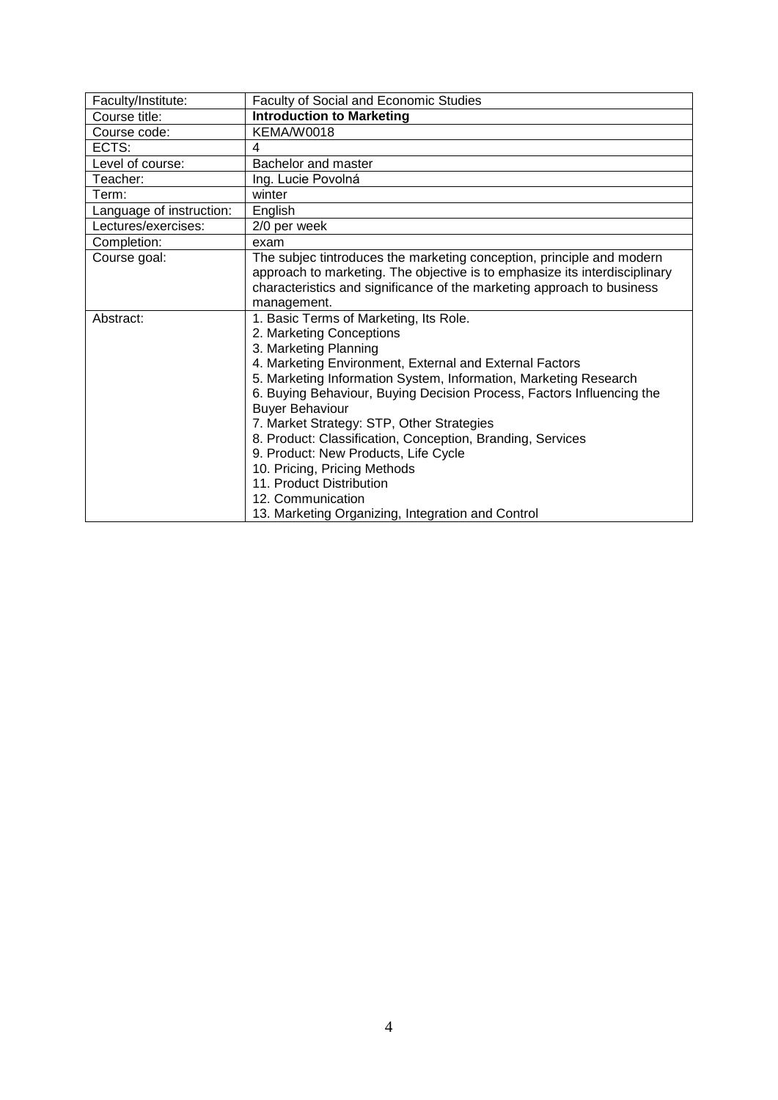<span id="page-3-0"></span>

| Faculty/Institute:       | Faculty of Social and Economic Studies                                     |
|--------------------------|----------------------------------------------------------------------------|
| Course title:            | <b>Introduction to Marketing</b>                                           |
| Course code:             | KEMA/W0018                                                                 |
| ECTS:                    | 4                                                                          |
| Level of course:         | Bachelor and master                                                        |
| Teacher:                 | Ing. Lucie Povolná                                                         |
| Term:                    | winter                                                                     |
| Language of instruction: | English                                                                    |
| Lectures/exercises:      | 2/0 per week                                                               |
| Completion:              | exam                                                                       |
| Course goal:             | The subjec tintroduces the marketing conception, principle and modern      |
|                          | approach to marketing. The objective is to emphasize its interdisciplinary |
|                          | characteristics and significance of the marketing approach to business     |
|                          | management.                                                                |
| Abstract:                | 1. Basic Terms of Marketing, Its Role.                                     |
|                          | 2. Marketing Conceptions                                                   |
|                          | 3. Marketing Planning                                                      |
|                          | 4. Marketing Environment, External and External Factors                    |
|                          | 5. Marketing Information System, Information, Marketing Research           |
|                          | 6. Buying Behaviour, Buying Decision Process, Factors Influencing the      |
|                          | <b>Buyer Behaviour</b>                                                     |
|                          | 7. Market Strategy: STP, Other Strategies                                  |
|                          | 8. Product: Classification, Conception, Branding, Services                 |
|                          | 9. Product: New Products, Life Cycle                                       |
|                          | 10. Pricing, Pricing Methods                                               |
|                          | 11. Product Distribution                                                   |
|                          | 12. Communication                                                          |
|                          | 13. Marketing Organizing, Integration and Control                          |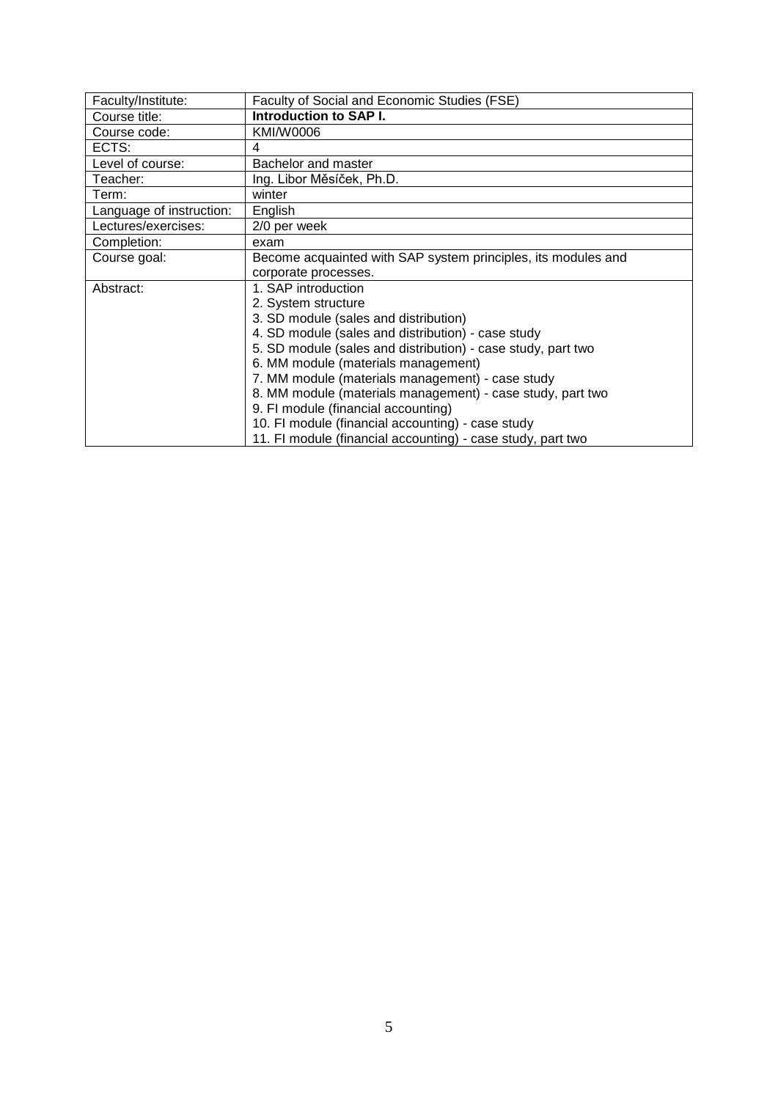<span id="page-4-0"></span>

| Faculty/Institute:       | Faculty of Social and Economic Studies (FSE)                  |
|--------------------------|---------------------------------------------------------------|
| Course title:            | Introduction to SAP I.                                        |
| Course code:             | KMI/W0006                                                     |
| ECTS:                    | 4                                                             |
| Level of course:         | Bachelor and master                                           |
| Teacher:                 | Ing. Libor Měsíček, Ph.D.                                     |
| Term:                    | winter                                                        |
| Language of instruction: | English                                                       |
| Lectures/exercises:      | 2/0 per week                                                  |
| Completion:              | exam                                                          |
| Course goal:             | Become acquainted with SAP system principles, its modules and |
|                          | corporate processes.                                          |
| Abstract:                | 1. SAP introduction                                           |
|                          | 2. System structure                                           |
|                          | 3. SD module (sales and distribution)                         |
|                          | 4. SD module (sales and distribution) - case study            |
|                          | 5. SD module (sales and distribution) - case study, part two  |
|                          | 6. MM module (materials management)                           |
|                          | 7. MM module (materials management) - case study              |
|                          | 8. MM module (materials management) - case study, part two    |
|                          | 9. FI module (financial accounting)                           |
|                          | 10. FI module (financial accounting) - case study             |
|                          | 11. FI module (financial accounting) - case study, part two   |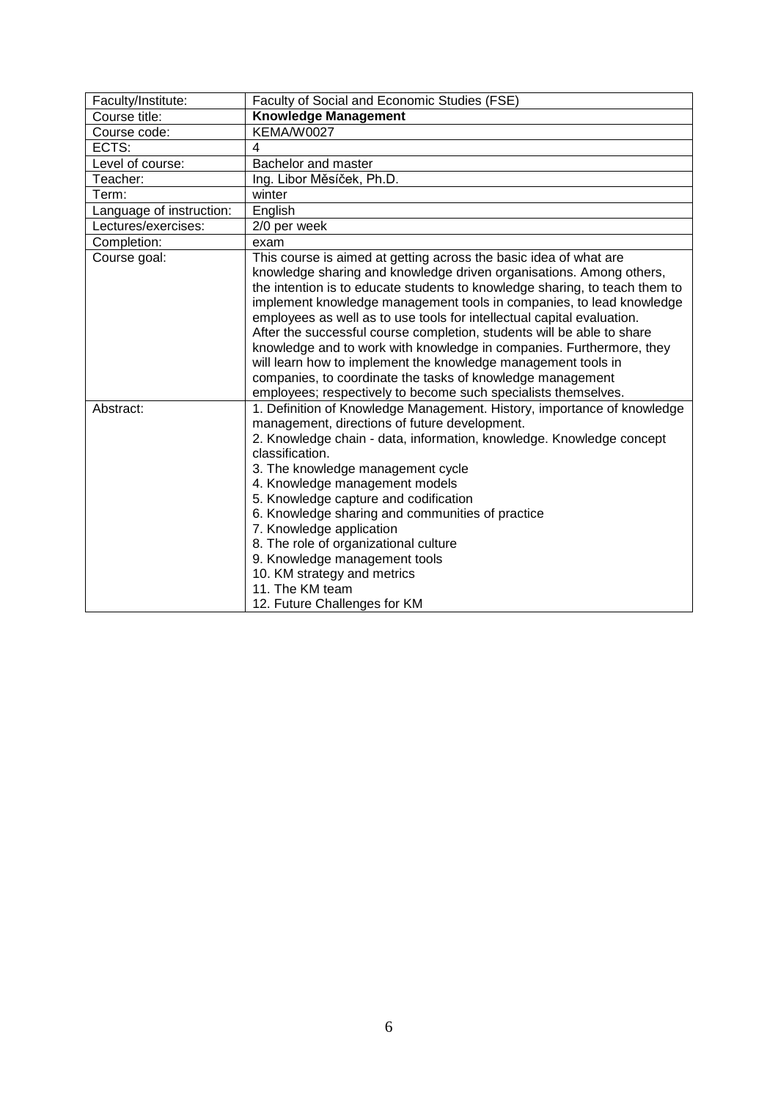<span id="page-5-0"></span>

| Faculty/Institute:       | Faculty of Social and Economic Studies (FSE)                                                                                                                                                                                                                                                                                                                                                                                                                                                                                                                                                                                                                                                                                 |
|--------------------------|------------------------------------------------------------------------------------------------------------------------------------------------------------------------------------------------------------------------------------------------------------------------------------------------------------------------------------------------------------------------------------------------------------------------------------------------------------------------------------------------------------------------------------------------------------------------------------------------------------------------------------------------------------------------------------------------------------------------------|
| Course title:            | <b>Knowledge Management</b>                                                                                                                                                                                                                                                                                                                                                                                                                                                                                                                                                                                                                                                                                                  |
| Course code:             | KEMA/W0027                                                                                                                                                                                                                                                                                                                                                                                                                                                                                                                                                                                                                                                                                                                   |
| ECTS:                    | 4                                                                                                                                                                                                                                                                                                                                                                                                                                                                                                                                                                                                                                                                                                                            |
| Level of course:         | Bachelor and master                                                                                                                                                                                                                                                                                                                                                                                                                                                                                                                                                                                                                                                                                                          |
| Teacher:                 | Ing. Libor Měsíček, Ph.D.                                                                                                                                                                                                                                                                                                                                                                                                                                                                                                                                                                                                                                                                                                    |
| Term:                    | winter                                                                                                                                                                                                                                                                                                                                                                                                                                                                                                                                                                                                                                                                                                                       |
| Language of instruction: | English                                                                                                                                                                                                                                                                                                                                                                                                                                                                                                                                                                                                                                                                                                                      |
| Lectures/exercises:      | 2/0 per week                                                                                                                                                                                                                                                                                                                                                                                                                                                                                                                                                                                                                                                                                                                 |
| Completion:              | exam                                                                                                                                                                                                                                                                                                                                                                                                                                                                                                                                                                                                                                                                                                                         |
| Course goal:             | This course is aimed at getting across the basic idea of what are<br>knowledge sharing and knowledge driven organisations. Among others,<br>the intention is to educate students to knowledge sharing, to teach them to<br>implement knowledge management tools in companies, to lead knowledge<br>employees as well as to use tools for intellectual capital evaluation.<br>After the successful course completion, students will be able to share<br>knowledge and to work with knowledge in companies. Furthermore, they<br>will learn how to implement the knowledge management tools in<br>companies, to coordinate the tasks of knowledge management<br>employees; respectively to become such specialists themselves. |
| Abstract:                | 1. Definition of Knowledge Management. History, importance of knowledge<br>management, directions of future development.<br>2. Knowledge chain - data, information, knowledge. Knowledge concept<br>classification.<br>3. The knowledge management cycle<br>4. Knowledge management models<br>5. Knowledge capture and codification<br>6. Knowledge sharing and communities of practice<br>7. Knowledge application<br>8. The role of organizational culture<br>9. Knowledge management tools<br>10. KM strategy and metrics<br>11. The KM team<br>12. Future Challenges for KM                                                                                                                                              |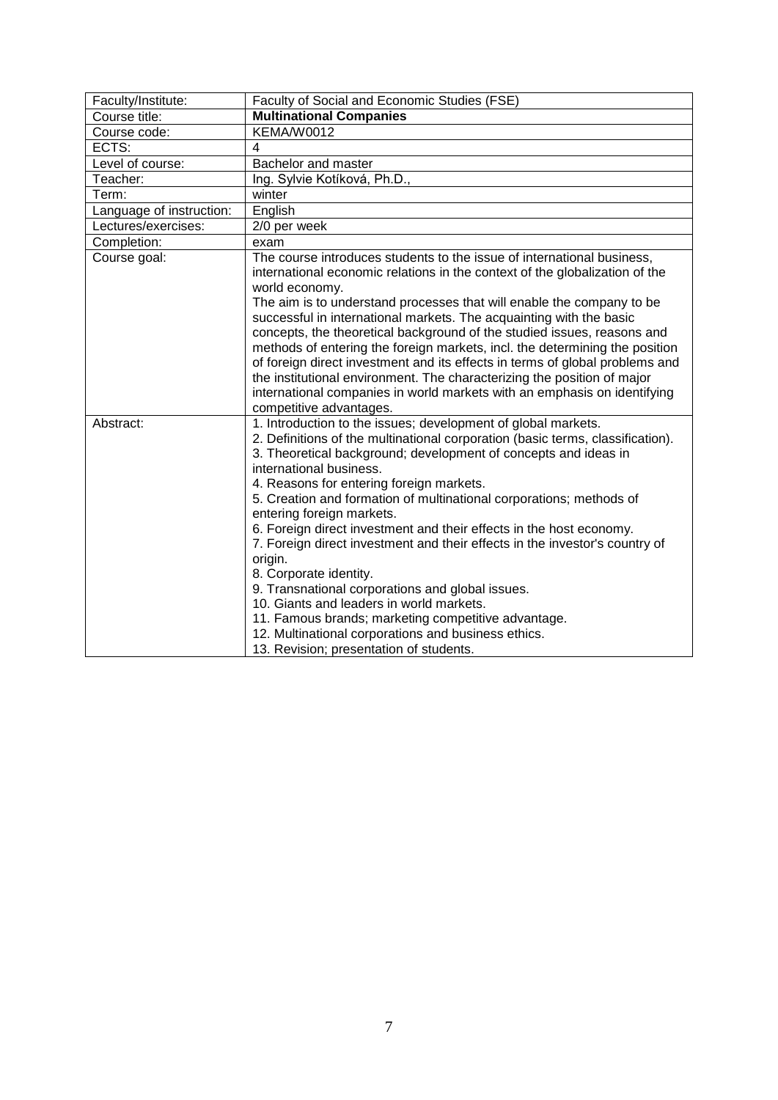<span id="page-6-0"></span>

| Faculty/Institute:       | Faculty of Social and Economic Studies (FSE)                                                                                                                                                                                                                                                                       |
|--------------------------|--------------------------------------------------------------------------------------------------------------------------------------------------------------------------------------------------------------------------------------------------------------------------------------------------------------------|
| Course title:            | <b>Multinational Companies</b>                                                                                                                                                                                                                                                                                     |
| Course code:             | <b>KEMA/W0012</b>                                                                                                                                                                                                                                                                                                  |
| ECTS:                    | 4                                                                                                                                                                                                                                                                                                                  |
| Level of course:         | Bachelor and master                                                                                                                                                                                                                                                                                                |
| Teacher:                 | Ing. Sylvie Kotíková, Ph.D.,                                                                                                                                                                                                                                                                                       |
| Term:                    | winter                                                                                                                                                                                                                                                                                                             |
| Language of instruction: | English                                                                                                                                                                                                                                                                                                            |
| Lectures/exercises:      | 2/0 per week                                                                                                                                                                                                                                                                                                       |
| Completion:              | exam                                                                                                                                                                                                                                                                                                               |
| Course goal:             | The course introduces students to the issue of international business,<br>international economic relations in the context of the globalization of the<br>world economy.                                                                                                                                            |
|                          | The aim is to understand processes that will enable the company to be<br>successful in international markets. The acquainting with the basic<br>concepts, the theoretical background of the studied issues, reasons and                                                                                            |
|                          | methods of entering the foreign markets, incl. the determining the position<br>of foreign direct investment and its effects in terms of global problems and<br>the institutional environment. The characterizing the position of major<br>international companies in world markets with an emphasis on identifying |
|                          | competitive advantages.                                                                                                                                                                                                                                                                                            |
| Abstract:                | 1. Introduction to the issues; development of global markets.<br>2. Definitions of the multinational corporation (basic terms, classification).<br>3. Theoretical background; development of concepts and ideas in<br>international business.<br>4. Reasons for entering foreign markets.                          |
|                          | 5. Creation and formation of multinational corporations; methods of<br>entering foreign markets.                                                                                                                                                                                                                   |
|                          | 6. Foreign direct investment and their effects in the host economy.<br>7. Foreign direct investment and their effects in the investor's country of<br>origin.                                                                                                                                                      |
|                          | 8. Corporate identity.                                                                                                                                                                                                                                                                                             |
|                          | 9. Transnational corporations and global issues.                                                                                                                                                                                                                                                                   |
|                          | 10. Giants and leaders in world markets.                                                                                                                                                                                                                                                                           |
|                          | 11. Famous brands; marketing competitive advantage.                                                                                                                                                                                                                                                                |
|                          | 12. Multinational corporations and business ethics.                                                                                                                                                                                                                                                                |
|                          | 13. Revision; presentation of students.                                                                                                                                                                                                                                                                            |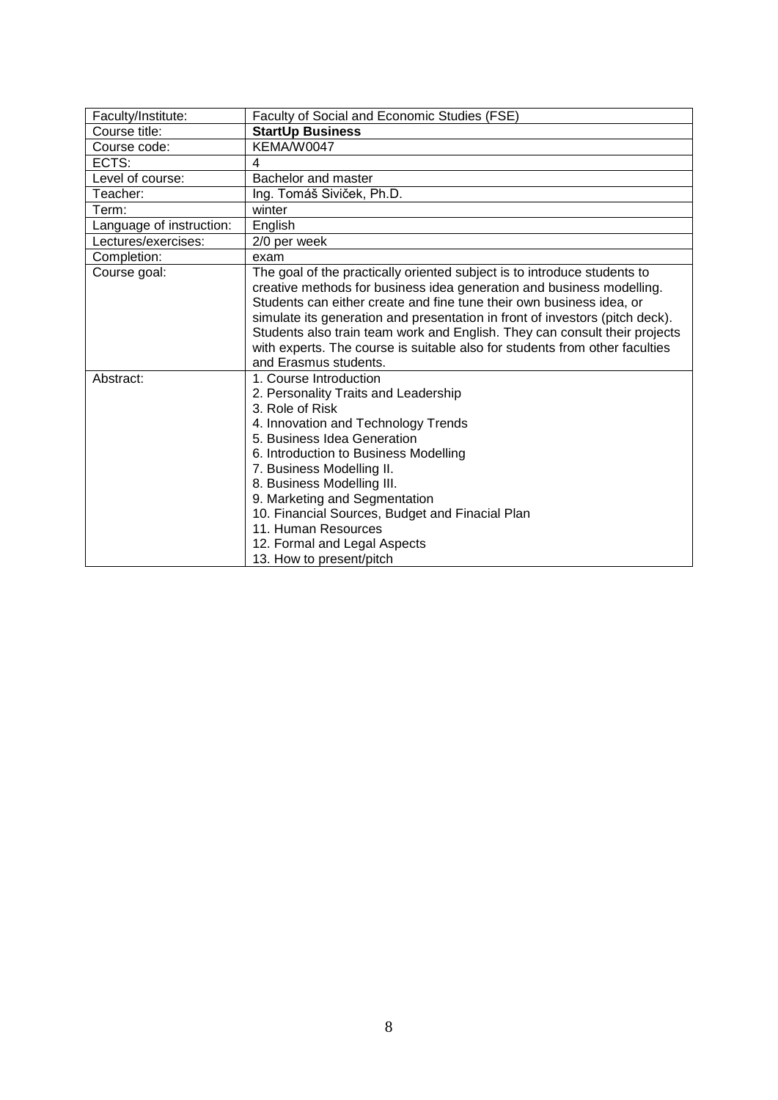<span id="page-7-0"></span>

| Faculty/Institute:       | Faculty of Social and Economic Studies (FSE)                                                                                                                                                                                                                                                                                                                                                                                                                                                    |
|--------------------------|-------------------------------------------------------------------------------------------------------------------------------------------------------------------------------------------------------------------------------------------------------------------------------------------------------------------------------------------------------------------------------------------------------------------------------------------------------------------------------------------------|
| Course title:            | <b>StartUp Business</b>                                                                                                                                                                                                                                                                                                                                                                                                                                                                         |
| Course code:             | KEMA/W0047                                                                                                                                                                                                                                                                                                                                                                                                                                                                                      |
| ECTS:                    | 4                                                                                                                                                                                                                                                                                                                                                                                                                                                                                               |
| Level of course:         | Bachelor and master                                                                                                                                                                                                                                                                                                                                                                                                                                                                             |
| Teacher:                 | Ing. Tomáš Siviček, Ph.D.                                                                                                                                                                                                                                                                                                                                                                                                                                                                       |
| Term:                    | winter                                                                                                                                                                                                                                                                                                                                                                                                                                                                                          |
| Language of instruction: | English                                                                                                                                                                                                                                                                                                                                                                                                                                                                                         |
| Lectures/exercises:      | 2/0 per week                                                                                                                                                                                                                                                                                                                                                                                                                                                                                    |
| Completion:              | exam                                                                                                                                                                                                                                                                                                                                                                                                                                                                                            |
| Course goal:             | The goal of the practically oriented subject is to introduce students to<br>creative methods for business idea generation and business modelling.<br>Students can either create and fine tune their own business idea, or<br>simulate its generation and presentation in front of investors (pitch deck).<br>Students also train team work and English. They can consult their projects<br>with experts. The course is suitable also for students from other faculties<br>and Erasmus students. |
| Abstract:                | 1. Course Introduction<br>2. Personality Traits and Leadership<br>3. Role of Risk<br>4. Innovation and Technology Trends<br>5. Business Idea Generation<br>6. Introduction to Business Modelling<br>7. Business Modelling II.<br>8. Business Modelling III.<br>9. Marketing and Segmentation<br>10. Financial Sources, Budget and Finacial Plan<br>11. Human Resources<br>12. Formal and Legal Aspects<br>13. How to present/pitch                                                              |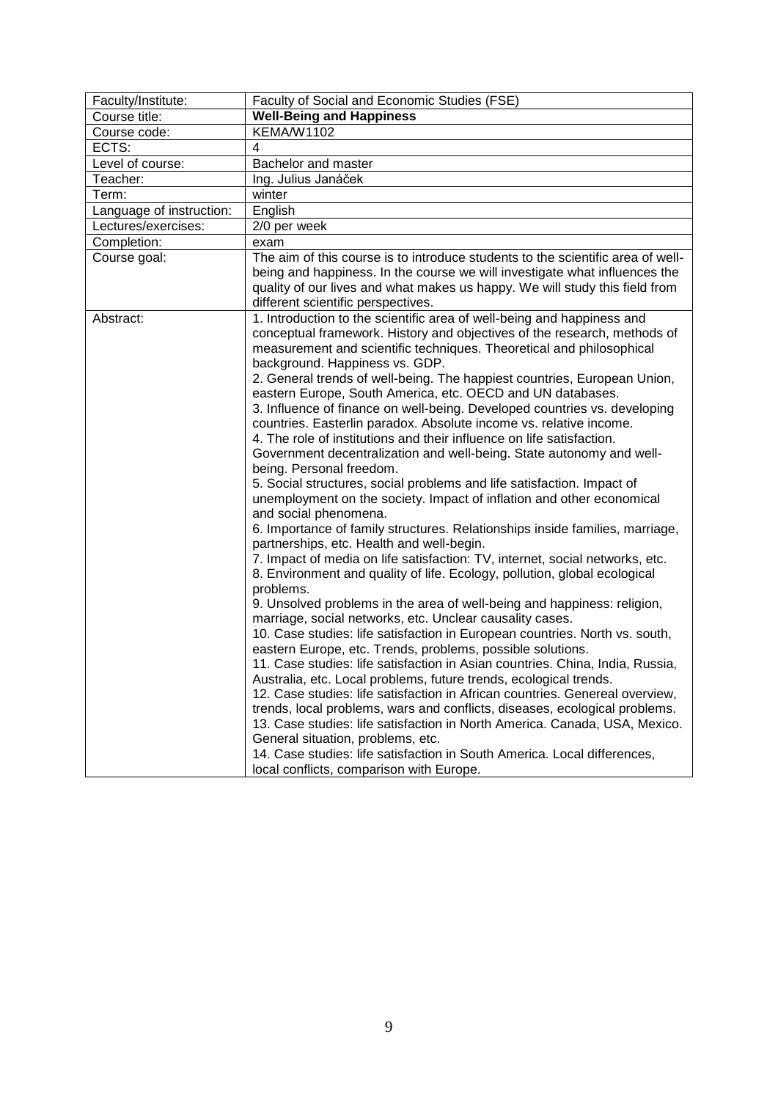<span id="page-8-0"></span>

| Faculty/Institute:       | Faculty of Social and Economic Studies (FSE)                                                                                                                                                                                                                                                                                                                                                                                                                                                                                                                                                                                                                                                                                                                                                                                                                                                                                                                                                                                                                                                                                                                                                                                                                                                                                                                                                                                                                                                                                                                                                                                                                                                                                                                                                                                                                                                                                                                                                                                     |
|--------------------------|----------------------------------------------------------------------------------------------------------------------------------------------------------------------------------------------------------------------------------------------------------------------------------------------------------------------------------------------------------------------------------------------------------------------------------------------------------------------------------------------------------------------------------------------------------------------------------------------------------------------------------------------------------------------------------------------------------------------------------------------------------------------------------------------------------------------------------------------------------------------------------------------------------------------------------------------------------------------------------------------------------------------------------------------------------------------------------------------------------------------------------------------------------------------------------------------------------------------------------------------------------------------------------------------------------------------------------------------------------------------------------------------------------------------------------------------------------------------------------------------------------------------------------------------------------------------------------------------------------------------------------------------------------------------------------------------------------------------------------------------------------------------------------------------------------------------------------------------------------------------------------------------------------------------------------------------------------------------------------------------------------------------------------|
| Course title:            | <b>Well-Being and Happiness</b>                                                                                                                                                                                                                                                                                                                                                                                                                                                                                                                                                                                                                                                                                                                                                                                                                                                                                                                                                                                                                                                                                                                                                                                                                                                                                                                                                                                                                                                                                                                                                                                                                                                                                                                                                                                                                                                                                                                                                                                                  |
| Course code:             | <b>KEMA/W1102</b>                                                                                                                                                                                                                                                                                                                                                                                                                                                                                                                                                                                                                                                                                                                                                                                                                                                                                                                                                                                                                                                                                                                                                                                                                                                                                                                                                                                                                                                                                                                                                                                                                                                                                                                                                                                                                                                                                                                                                                                                                |
| ECTS:                    | 4                                                                                                                                                                                                                                                                                                                                                                                                                                                                                                                                                                                                                                                                                                                                                                                                                                                                                                                                                                                                                                                                                                                                                                                                                                                                                                                                                                                                                                                                                                                                                                                                                                                                                                                                                                                                                                                                                                                                                                                                                                |
| Level of course:         | Bachelor and master                                                                                                                                                                                                                                                                                                                                                                                                                                                                                                                                                                                                                                                                                                                                                                                                                                                                                                                                                                                                                                                                                                                                                                                                                                                                                                                                                                                                                                                                                                                                                                                                                                                                                                                                                                                                                                                                                                                                                                                                              |
| Teacher:                 | Ing. Julius Janáček                                                                                                                                                                                                                                                                                                                                                                                                                                                                                                                                                                                                                                                                                                                                                                                                                                                                                                                                                                                                                                                                                                                                                                                                                                                                                                                                                                                                                                                                                                                                                                                                                                                                                                                                                                                                                                                                                                                                                                                                              |
| Term:                    | winter                                                                                                                                                                                                                                                                                                                                                                                                                                                                                                                                                                                                                                                                                                                                                                                                                                                                                                                                                                                                                                                                                                                                                                                                                                                                                                                                                                                                                                                                                                                                                                                                                                                                                                                                                                                                                                                                                                                                                                                                                           |
| Language of instruction: | English                                                                                                                                                                                                                                                                                                                                                                                                                                                                                                                                                                                                                                                                                                                                                                                                                                                                                                                                                                                                                                                                                                                                                                                                                                                                                                                                                                                                                                                                                                                                                                                                                                                                                                                                                                                                                                                                                                                                                                                                                          |
| Lectures/exercises:      | 2/0 per week                                                                                                                                                                                                                                                                                                                                                                                                                                                                                                                                                                                                                                                                                                                                                                                                                                                                                                                                                                                                                                                                                                                                                                                                                                                                                                                                                                                                                                                                                                                                                                                                                                                                                                                                                                                                                                                                                                                                                                                                                     |
| Completion:              | exam                                                                                                                                                                                                                                                                                                                                                                                                                                                                                                                                                                                                                                                                                                                                                                                                                                                                                                                                                                                                                                                                                                                                                                                                                                                                                                                                                                                                                                                                                                                                                                                                                                                                                                                                                                                                                                                                                                                                                                                                                             |
| Course goal:             | The aim of this course is to introduce students to the scientific area of well-<br>being and happiness. In the course we will investigate what influences the<br>quality of our lives and what makes us happy. We will study this field from<br>different scientific perspectives.                                                                                                                                                                                                                                                                                                                                                                                                                                                                                                                                                                                                                                                                                                                                                                                                                                                                                                                                                                                                                                                                                                                                                                                                                                                                                                                                                                                                                                                                                                                                                                                                                                                                                                                                               |
| Abstract:                | 1. Introduction to the scientific area of well-being and happiness and<br>conceptual framework. History and objectives of the research, methods of<br>measurement and scientific techniques. Theoretical and philosophical<br>background. Happiness vs. GDP.<br>2. General trends of well-being. The happiest countries, European Union,<br>eastern Europe, South America, etc. OECD and UN databases.<br>3. Influence of finance on well-being. Developed countries vs. developing<br>countries. Easterlin paradox. Absolute income vs. relative income.<br>4. The role of institutions and their influence on life satisfaction.<br>Government decentralization and well-being. State autonomy and well-<br>being. Personal freedom.<br>5. Social structures, social problems and life satisfaction. Impact of<br>unemployment on the society. Impact of inflation and other economical<br>and social phenomena.<br>6. Importance of family structures. Relationships inside families, marriage,<br>partnerships, etc. Health and well-begin.<br>7. Impact of media on life satisfaction: TV, internet, social networks, etc.<br>8. Environment and quality of life. Ecology, pollution, global ecological<br>problems.<br>9. Unsolved problems in the area of well-being and happiness: religion,<br>marriage, social networks, etc. Unclear causality cases.<br>10. Case studies: life satisfaction in European countries. North vs. south,<br>eastern Europe, etc. Trends, problems, possible solutions.<br>11. Case studies: life satisfaction in Asian countries. China, India, Russia,<br>Australia, etc. Local problems, future trends, ecological trends.<br>12. Case studies: life satisfaction in African countries. Genereal overview,<br>trends, local problems, wars and conflicts, diseases, ecological problems.<br>13. Case studies: life satisfaction in North America. Canada, USA, Mexico.<br>General situation, problems, etc.<br>14. Case studies: life satisfaction in South America. Local differences, |
|                          | local conflicts, comparison with Europe.                                                                                                                                                                                                                                                                                                                                                                                                                                                                                                                                                                                                                                                                                                                                                                                                                                                                                                                                                                                                                                                                                                                                                                                                                                                                                                                                                                                                                                                                                                                                                                                                                                                                                                                                                                                                                                                                                                                                                                                         |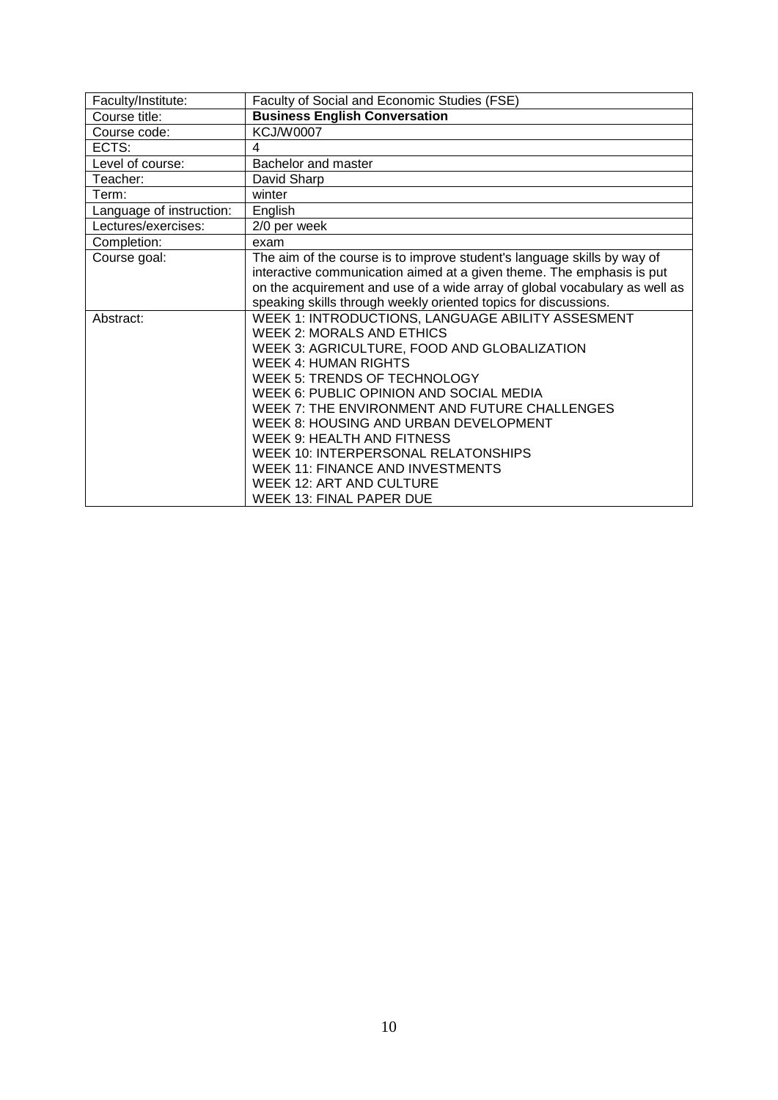<span id="page-9-0"></span>

| Faculty/Institute:       | Faculty of Social and Economic Studies (FSE)                               |
|--------------------------|----------------------------------------------------------------------------|
| Course title:            | <b>Business English Conversation</b>                                       |
| Course code:             | <b>KCJ/W0007</b>                                                           |
| ECTS:                    | 4                                                                          |
| Level of course:         | Bachelor and master                                                        |
| Teacher:                 | David Sharp                                                                |
| Term:                    | winter                                                                     |
| Language of instruction: | English                                                                    |
| Lectures/exercises:      | 2/0 per week                                                               |
| Completion:              | exam                                                                       |
| Course goal:             | The aim of the course is to improve student's language skills by way of    |
|                          | interactive communication aimed at a given theme. The emphasis is put      |
|                          | on the acquirement and use of a wide array of global vocabulary as well as |
|                          | speaking skills through weekly oriented topics for discussions.            |
| Abstract:                | WEEK 1: INTRODUCTIONS, LANGUAGE ABILITY ASSESMENT                          |
|                          | <b>WEEK 2: MORALS AND ETHICS</b>                                           |
|                          | WEEK 3: AGRICULTURE, FOOD AND GLOBALIZATION                                |
|                          | <b>WEEK 4: HUMAN RIGHTS</b>                                                |
|                          | <b>WEEK 5: TRENDS OF TECHNOLOGY</b>                                        |
|                          | WEEK 6: PUBLIC OPINION AND SOCIAL MEDIA                                    |
|                          | WEEK 7: THE ENVIRONMENT AND FUTURE CHALLENGES                              |
|                          | WEEK 8: HOUSING AND URBAN DEVELOPMENT                                      |
|                          | WEEK 9: HEALTH AND FITNESS                                                 |
|                          | WEEK 10: INTERPERSONAL RELATONSHIPS                                        |
|                          | <b>WEEK 11: FINANCE AND INVESTMENTS</b>                                    |
|                          | <b>WEEK 12: ART AND CULTURE</b>                                            |
|                          | WEEK 13: FINAL PAPER DUE                                                   |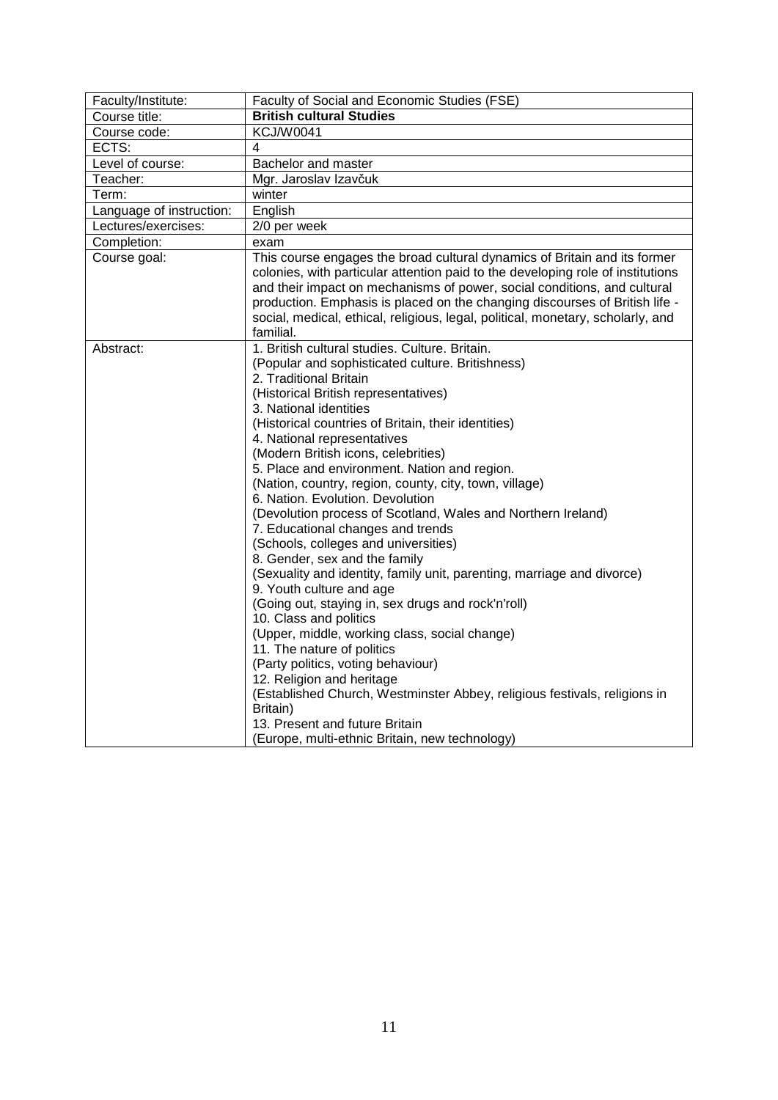<span id="page-10-0"></span>

| Faculty/Institute:       | Faculty of Social and Economic Studies (FSE)                                                                                                                                                                                                                                                                                                                                                                                                                                                                                                                                                                                                                                                                                                                                                                                                                                                                                                                                                                                                                                                                                                                                 |
|--------------------------|------------------------------------------------------------------------------------------------------------------------------------------------------------------------------------------------------------------------------------------------------------------------------------------------------------------------------------------------------------------------------------------------------------------------------------------------------------------------------------------------------------------------------------------------------------------------------------------------------------------------------------------------------------------------------------------------------------------------------------------------------------------------------------------------------------------------------------------------------------------------------------------------------------------------------------------------------------------------------------------------------------------------------------------------------------------------------------------------------------------------------------------------------------------------------|
| Course title:            | <b>British cultural Studies</b>                                                                                                                                                                                                                                                                                                                                                                                                                                                                                                                                                                                                                                                                                                                                                                                                                                                                                                                                                                                                                                                                                                                                              |
| Course code:             | <b>KCJ/W0041</b>                                                                                                                                                                                                                                                                                                                                                                                                                                                                                                                                                                                                                                                                                                                                                                                                                                                                                                                                                                                                                                                                                                                                                             |
| ECTS:                    | 4                                                                                                                                                                                                                                                                                                                                                                                                                                                                                                                                                                                                                                                                                                                                                                                                                                                                                                                                                                                                                                                                                                                                                                            |
| Level of course:         | Bachelor and master                                                                                                                                                                                                                                                                                                                                                                                                                                                                                                                                                                                                                                                                                                                                                                                                                                                                                                                                                                                                                                                                                                                                                          |
| Teacher:                 | Mgr. Jaroslav Izavčuk                                                                                                                                                                                                                                                                                                                                                                                                                                                                                                                                                                                                                                                                                                                                                                                                                                                                                                                                                                                                                                                                                                                                                        |
| Term:                    | winter                                                                                                                                                                                                                                                                                                                                                                                                                                                                                                                                                                                                                                                                                                                                                                                                                                                                                                                                                                                                                                                                                                                                                                       |
| Language of instruction: | English                                                                                                                                                                                                                                                                                                                                                                                                                                                                                                                                                                                                                                                                                                                                                                                                                                                                                                                                                                                                                                                                                                                                                                      |
| Lectures/exercises:      | 2/0 per week                                                                                                                                                                                                                                                                                                                                                                                                                                                                                                                                                                                                                                                                                                                                                                                                                                                                                                                                                                                                                                                                                                                                                                 |
| Completion:              | exam                                                                                                                                                                                                                                                                                                                                                                                                                                                                                                                                                                                                                                                                                                                                                                                                                                                                                                                                                                                                                                                                                                                                                                         |
| Course goal:             | This course engages the broad cultural dynamics of Britain and its former<br>colonies, with particular attention paid to the developing role of institutions<br>and their impact on mechanisms of power, social conditions, and cultural<br>production. Emphasis is placed on the changing discourses of British life -<br>social, medical, ethical, religious, legal, political, monetary, scholarly, and<br>familial.                                                                                                                                                                                                                                                                                                                                                                                                                                                                                                                                                                                                                                                                                                                                                      |
| Abstract:                | 1. British cultural studies. Culture. Britain.<br>(Popular and sophisticated culture. Britishness)<br>2. Traditional Britain<br>(Historical British representatives)<br>3. National identities<br>(Historical countries of Britain, their identities)<br>4. National representatives<br>(Modern British icons, celebrities)<br>5. Place and environment. Nation and region.<br>(Nation, country, region, county, city, town, village)<br>6. Nation. Evolution. Devolution<br>(Devolution process of Scotland, Wales and Northern Ireland)<br>7. Educational changes and trends<br>(Schools, colleges and universities)<br>8. Gender, sex and the family<br>(Sexuality and identity, family unit, parenting, marriage and divorce)<br>9. Youth culture and age<br>(Going out, staying in, sex drugs and rock'n'roll)<br>10. Class and politics<br>(Upper, middle, working class, social change)<br>11. The nature of politics<br>(Party politics, voting behaviour)<br>12. Religion and heritage<br>(Established Church, Westminster Abbey, religious festivals, religions in<br>Britain)<br>13. Present and future Britain<br>(Europe, multi-ethnic Britain, new technology) |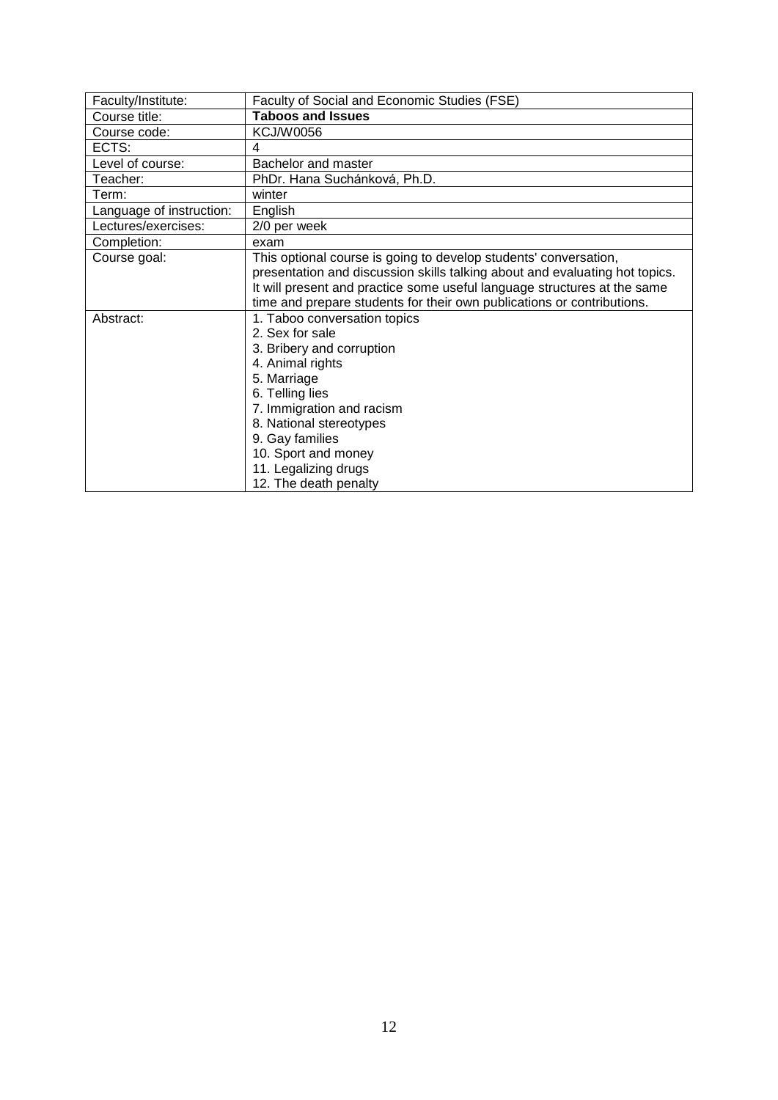<span id="page-11-0"></span>

| Faculty/Institute:       | Faculty of Social and Economic Studies (FSE)                                |
|--------------------------|-----------------------------------------------------------------------------|
| Course title:            | <b>Taboos and Issues</b>                                                    |
| Course code:             | <b>KCJ/W0056</b>                                                            |
| ECTS:                    | 4                                                                           |
| Level of course:         | Bachelor and master                                                         |
| Teacher:                 | PhDr. Hana Suchánková, Ph.D.                                                |
| Term:                    | winter                                                                      |
| Language of instruction: | English                                                                     |
| Lectures/exercises:      | 2/0 per week                                                                |
| Completion:              | exam                                                                        |
| Course goal:             | This optional course is going to develop students' conversation,            |
|                          | presentation and discussion skills talking about and evaluating hot topics. |
|                          | It will present and practice some useful language structures at the same    |
|                          | time and prepare students for their own publications or contributions.      |
| Abstract:                | 1. Taboo conversation topics                                                |
|                          | 2. Sex for sale                                                             |
|                          | 3. Bribery and corruption                                                   |
|                          | 4. Animal rights                                                            |
|                          | 5. Marriage                                                                 |
|                          | 6. Telling lies                                                             |
|                          | 7. Immigration and racism                                                   |
|                          | 8. National stereotypes                                                     |
|                          | 9. Gay families                                                             |
|                          | 10. Sport and money                                                         |
|                          | 11. Legalizing drugs                                                        |
|                          | 12. The death penalty                                                       |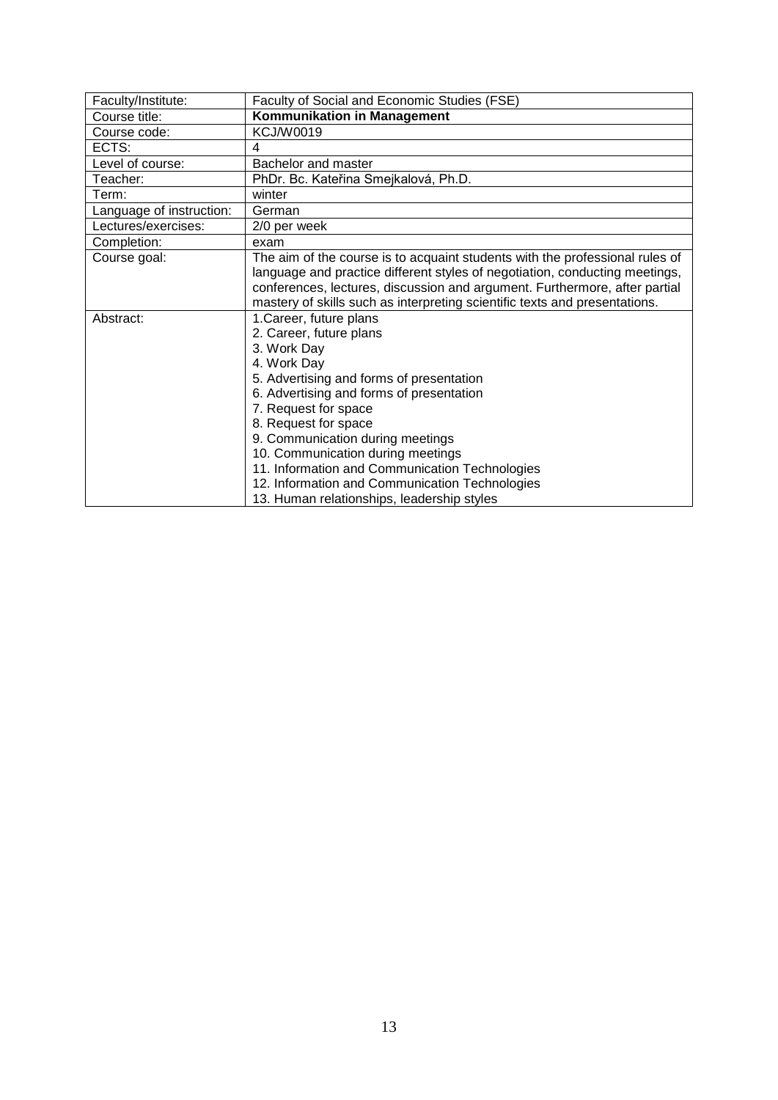<span id="page-12-0"></span>

| Faculty/Institute:       | Faculty of Social and Economic Studies (FSE)                                 |
|--------------------------|------------------------------------------------------------------------------|
| Course title:            | Kommunikation in Management                                                  |
| Course code:             | <b>KCJ/W0019</b>                                                             |
| ECTS:                    | 4                                                                            |
| Level of course:         | Bachelor and master                                                          |
| Teacher:                 | PhDr. Bc. Kateřina Smejkalová, Ph.D.                                         |
| Term:                    | winter                                                                       |
| Language of instruction: | German                                                                       |
| Lectures/exercises:      | 2/0 per week                                                                 |
| Completion:              | exam                                                                         |
| Course goal:             | The aim of the course is to acquaint students with the professional rules of |
|                          | language and practice different styles of negotiation, conducting meetings,  |
|                          | conferences, lectures, discussion and argument. Furthermore, after partial   |
|                          | mastery of skills such as interpreting scientific texts and presentations.   |
| Abstract:                | 1. Career, future plans                                                      |
|                          | 2. Career, future plans                                                      |
|                          | 3. Work Day                                                                  |
|                          | 4. Work Day                                                                  |
|                          | 5. Advertising and forms of presentation                                     |
|                          | 6. Advertising and forms of presentation                                     |
|                          | 7. Request for space                                                         |
|                          | 8. Request for space                                                         |
|                          | 9. Communication during meetings                                             |
|                          | 10. Communication during meetings                                            |
|                          | 11. Information and Communication Technologies                               |
|                          | 12. Information and Communication Technologies                               |
|                          | 13. Human relationships, leadership styles                                   |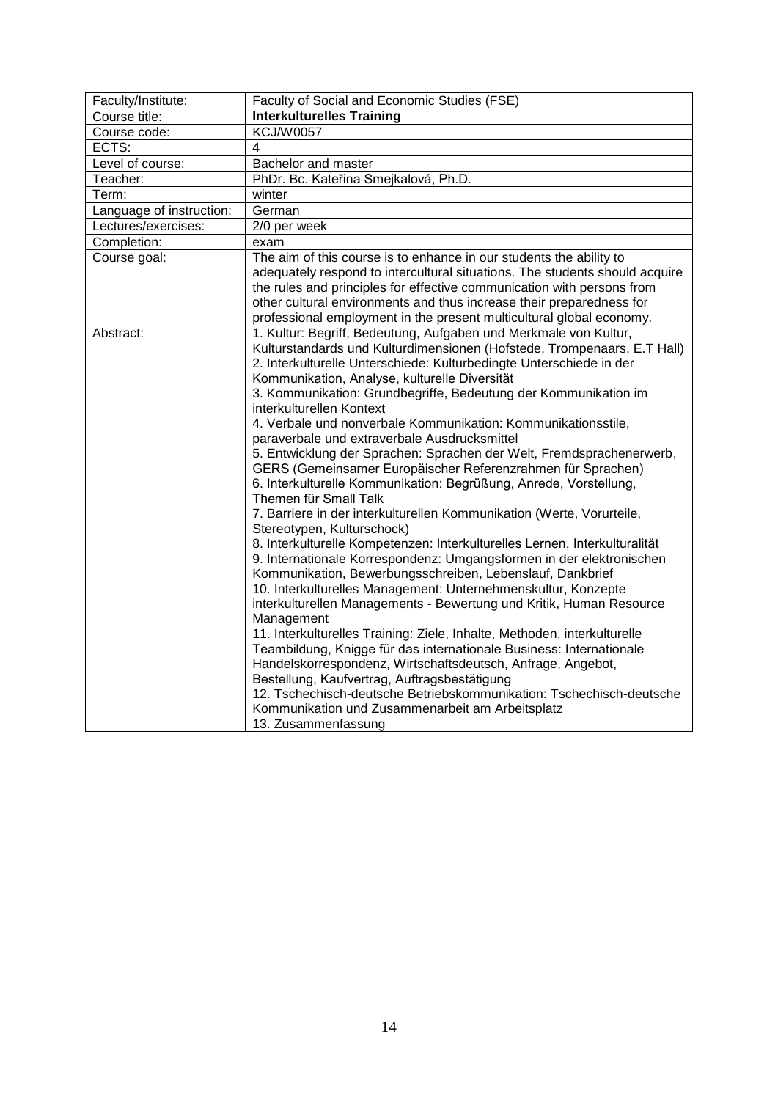<span id="page-13-0"></span>

| <b>Interkulturelles Training</b>                                                                                                                                                                                                                                                                                                                                                                                                                                                                                                                                                                                                                                                                                                                                                                                                                                                                                                                                                                                                                                                                                                                                                                                                                                                                                                                                                                                                                                                                                                                                                                                              |
|-------------------------------------------------------------------------------------------------------------------------------------------------------------------------------------------------------------------------------------------------------------------------------------------------------------------------------------------------------------------------------------------------------------------------------------------------------------------------------------------------------------------------------------------------------------------------------------------------------------------------------------------------------------------------------------------------------------------------------------------------------------------------------------------------------------------------------------------------------------------------------------------------------------------------------------------------------------------------------------------------------------------------------------------------------------------------------------------------------------------------------------------------------------------------------------------------------------------------------------------------------------------------------------------------------------------------------------------------------------------------------------------------------------------------------------------------------------------------------------------------------------------------------------------------------------------------------------------------------------------------------|
|                                                                                                                                                                                                                                                                                                                                                                                                                                                                                                                                                                                                                                                                                                                                                                                                                                                                                                                                                                                                                                                                                                                                                                                                                                                                                                                                                                                                                                                                                                                                                                                                                               |
| <b>KCJ/W0057</b>                                                                                                                                                                                                                                                                                                                                                                                                                                                                                                                                                                                                                                                                                                                                                                                                                                                                                                                                                                                                                                                                                                                                                                                                                                                                                                                                                                                                                                                                                                                                                                                                              |
| $\overline{4}$                                                                                                                                                                                                                                                                                                                                                                                                                                                                                                                                                                                                                                                                                                                                                                                                                                                                                                                                                                                                                                                                                                                                                                                                                                                                                                                                                                                                                                                                                                                                                                                                                |
| Bachelor and master                                                                                                                                                                                                                                                                                                                                                                                                                                                                                                                                                                                                                                                                                                                                                                                                                                                                                                                                                                                                                                                                                                                                                                                                                                                                                                                                                                                                                                                                                                                                                                                                           |
| PhDr. Bc. Kateřina Smejkalová, Ph.D.                                                                                                                                                                                                                                                                                                                                                                                                                                                                                                                                                                                                                                                                                                                                                                                                                                                                                                                                                                                                                                                                                                                                                                                                                                                                                                                                                                                                                                                                                                                                                                                          |
| winter                                                                                                                                                                                                                                                                                                                                                                                                                                                                                                                                                                                                                                                                                                                                                                                                                                                                                                                                                                                                                                                                                                                                                                                                                                                                                                                                                                                                                                                                                                                                                                                                                        |
| German                                                                                                                                                                                                                                                                                                                                                                                                                                                                                                                                                                                                                                                                                                                                                                                                                                                                                                                                                                                                                                                                                                                                                                                                                                                                                                                                                                                                                                                                                                                                                                                                                        |
| 2/0 per week                                                                                                                                                                                                                                                                                                                                                                                                                                                                                                                                                                                                                                                                                                                                                                                                                                                                                                                                                                                                                                                                                                                                                                                                                                                                                                                                                                                                                                                                                                                                                                                                                  |
| exam                                                                                                                                                                                                                                                                                                                                                                                                                                                                                                                                                                                                                                                                                                                                                                                                                                                                                                                                                                                                                                                                                                                                                                                                                                                                                                                                                                                                                                                                                                                                                                                                                          |
| The aim of this course is to enhance in our students the ability to<br>adequately respond to intercultural situations. The students should acquire<br>the rules and principles for effective communication with persons from<br>other cultural environments and thus increase their preparedness for<br>professional employment in the present multicultural global economy.                                                                                                                                                                                                                                                                                                                                                                                                                                                                                                                                                                                                                                                                                                                                                                                                                                                                                                                                                                                                                                                                                                                                                                                                                                                  |
| 1. Kultur: Begriff, Bedeutung, Aufgaben und Merkmale von Kultur,<br>Kulturstandards und Kulturdimensionen (Hofstede, Trompenaars, E.T Hall)<br>2. Interkulturelle Unterschiede: Kulturbedingte Unterschiede in der<br>Kommunikation, Analyse, kulturelle Diversität<br>3. Kommunikation: Grundbegriffe, Bedeutung der Kommunikation im<br>interkulturellen Kontext<br>4. Verbale und nonverbale Kommunikation: Kommunikationsstile,<br>paraverbale und extraverbale Ausdrucksmittel<br>5. Entwicklung der Sprachen: Sprachen der Welt, Fremdsprachenerwerb,<br>GERS (Gemeinsamer Europäischer Referenzrahmen für Sprachen)<br>6. Interkulturelle Kommunikation: Begrüßung, Anrede, Vorstellung,<br>Themen für Small Talk<br>7. Barriere in der interkulturellen Kommunikation (Werte, Vorurteile,<br>Stereotypen, Kulturschock)<br>8. Interkulturelle Kompetenzen: Interkulturelles Lernen, Interkulturalität<br>9. Internationale Korrespondenz: Umgangsformen in der elektronischen<br>Kommunikation, Bewerbungsschreiben, Lebenslauf, Dankbrief<br>10. Interkulturelles Management: Unternehmenskultur, Konzepte<br>interkulturellen Managements - Bewertung und Kritik, Human Resource<br>Management<br>11. Interkulturelles Training: Ziele, Inhalte, Methoden, interkulturelle<br>Teambildung, Knigge für das internationale Business: Internationale<br>Handelskorrespondenz, Wirtschaftsdeutsch, Anfrage, Angebot,<br>Bestellung, Kaufvertrag, Auftragsbestätigung<br>12. Tschechisch-deutsche Betriebskommunikation: Tschechisch-deutsche<br>Kommunikation und Zusammenarbeit am Arbeitsplatz<br>13. Zusammenfassung |
|                                                                                                                                                                                                                                                                                                                                                                                                                                                                                                                                                                                                                                                                                                                                                                                                                                                                                                                                                                                                                                                                                                                                                                                                                                                                                                                                                                                                                                                                                                                                                                                                                               |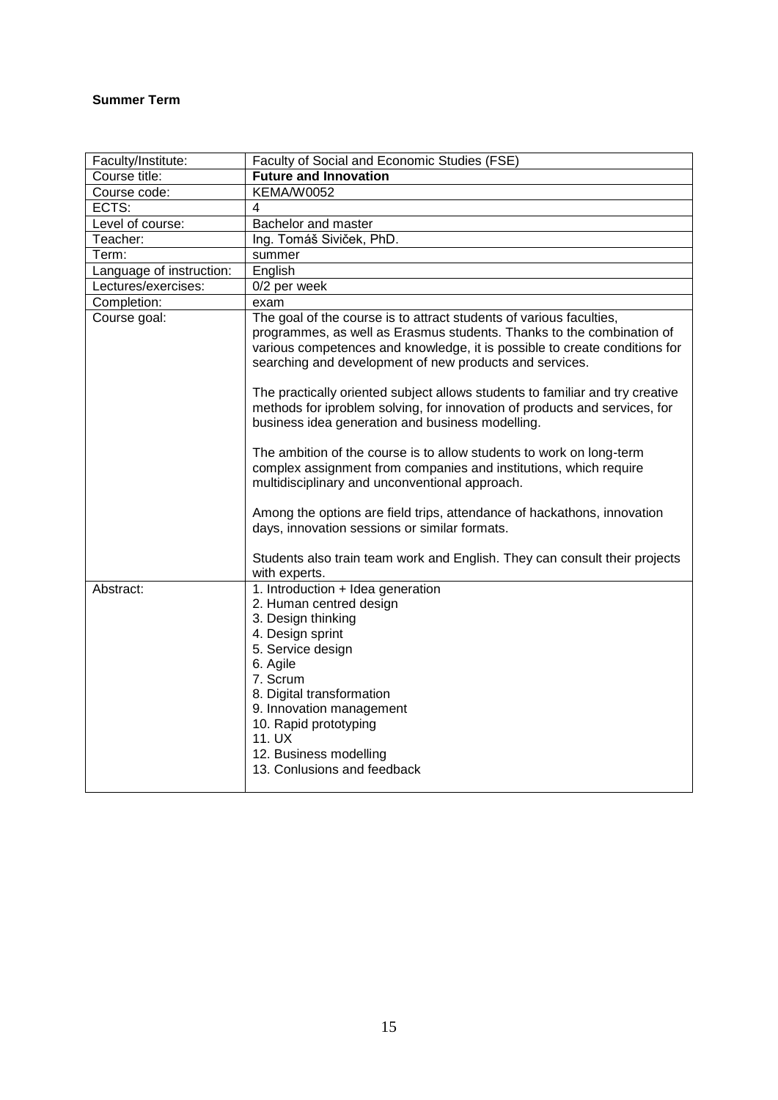## <span id="page-14-0"></span>**Summer Term**

<span id="page-14-1"></span>

| Faculty/Institute:       | Faculty of Social and Economic Studies (FSE)                                                                                                                                                                                                                                                                                                                                                                                                                                                                                                                                                                                                                                                            |
|--------------------------|---------------------------------------------------------------------------------------------------------------------------------------------------------------------------------------------------------------------------------------------------------------------------------------------------------------------------------------------------------------------------------------------------------------------------------------------------------------------------------------------------------------------------------------------------------------------------------------------------------------------------------------------------------------------------------------------------------|
| Course title:            | <b>Future and Innovation</b>                                                                                                                                                                                                                                                                                                                                                                                                                                                                                                                                                                                                                                                                            |
| Course code:             | <b>KEMA/W0052</b>                                                                                                                                                                                                                                                                                                                                                                                                                                                                                                                                                                                                                                                                                       |
| ECTS:                    | 4                                                                                                                                                                                                                                                                                                                                                                                                                                                                                                                                                                                                                                                                                                       |
| Level of course:         | Bachelor and master                                                                                                                                                                                                                                                                                                                                                                                                                                                                                                                                                                                                                                                                                     |
| Teacher:                 | Ing. Tomáš Siviček, PhD.                                                                                                                                                                                                                                                                                                                                                                                                                                                                                                                                                                                                                                                                                |
| Term:                    | summer                                                                                                                                                                                                                                                                                                                                                                                                                                                                                                                                                                                                                                                                                                  |
| Language of instruction: | English                                                                                                                                                                                                                                                                                                                                                                                                                                                                                                                                                                                                                                                                                                 |
| Lectures/exercises:      | 0/2 per week                                                                                                                                                                                                                                                                                                                                                                                                                                                                                                                                                                                                                                                                                            |
| Completion:              | exam                                                                                                                                                                                                                                                                                                                                                                                                                                                                                                                                                                                                                                                                                                    |
| Course goal:             | The goal of the course is to attract students of various faculties,<br>programmes, as well as Erasmus students. Thanks to the combination of<br>various competences and knowledge, it is possible to create conditions for<br>searching and development of new products and services.<br>The practically oriented subject allows students to familiar and try creative<br>methods for iproblem solving, for innovation of products and services, for<br>business idea generation and business modelling.<br>The ambition of the course is to allow students to work on long-term<br>complex assignment from companies and institutions, which require<br>multidisciplinary and unconventional approach. |
|                          | Among the options are field trips, attendance of hackathons, innovation<br>days, innovation sessions or similar formats.<br>Students also train team work and English. They can consult their projects<br>with experts.                                                                                                                                                                                                                                                                                                                                                                                                                                                                                 |
| Abstract:                | 1. Introduction + Idea generation<br>2. Human centred design<br>3. Design thinking<br>4. Design sprint<br>5. Service design<br>6. Agile<br>7. Scrum<br>8. Digital transformation<br>9. Innovation management<br>10. Rapid prototyping<br>11. UX<br>12. Business modelling<br>13. Conlusions and feedback                                                                                                                                                                                                                                                                                                                                                                                                |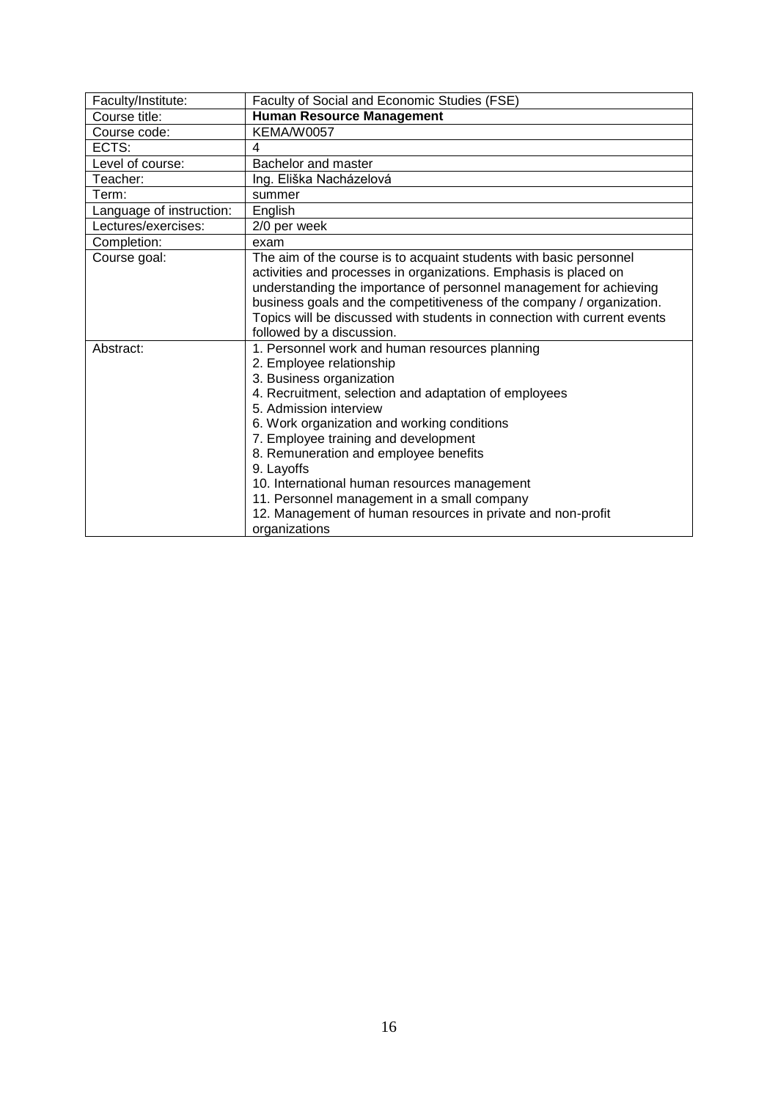<span id="page-15-0"></span>

| Faculty/Institute:       | Faculty of Social and Economic Studies (FSE)                             |
|--------------------------|--------------------------------------------------------------------------|
| Course title:            | <b>Human Resource Management</b>                                         |
| Course code:             | <b>KEMA/W0057</b>                                                        |
| ECTS:                    | 4                                                                        |
| Level of course:         | Bachelor and master                                                      |
| Teacher:                 | Ing. Eliška Nacházelová                                                  |
| Term:                    | summer                                                                   |
| Language of instruction: | English                                                                  |
| Lectures/exercises:      | 2/0 per week                                                             |
| Completion:              | exam                                                                     |
| Course goal:             | The aim of the course is to acquaint students with basic personnel       |
|                          | activities and processes in organizations. Emphasis is placed on         |
|                          | understanding the importance of personnel management for achieving       |
|                          | business goals and the competitiveness of the company / organization.    |
|                          | Topics will be discussed with students in connection with current events |
|                          | followed by a discussion.                                                |
| Abstract:                | 1. Personnel work and human resources planning                           |
|                          | 2. Employee relationship                                                 |
|                          | 3. Business organization                                                 |
|                          | 4. Recruitment, selection and adaptation of employees                    |
|                          | 5. Admission interview                                                   |
|                          | 6. Work organization and working conditions                              |
|                          | 7. Employee training and development                                     |
|                          | 8. Remuneration and employee benefits                                    |
|                          | 9. Layoffs                                                               |
|                          | 10. International human resources management                             |
|                          | 11. Personnel management in a small company                              |
|                          | 12. Management of human resources in private and non-profit              |
|                          | organizations                                                            |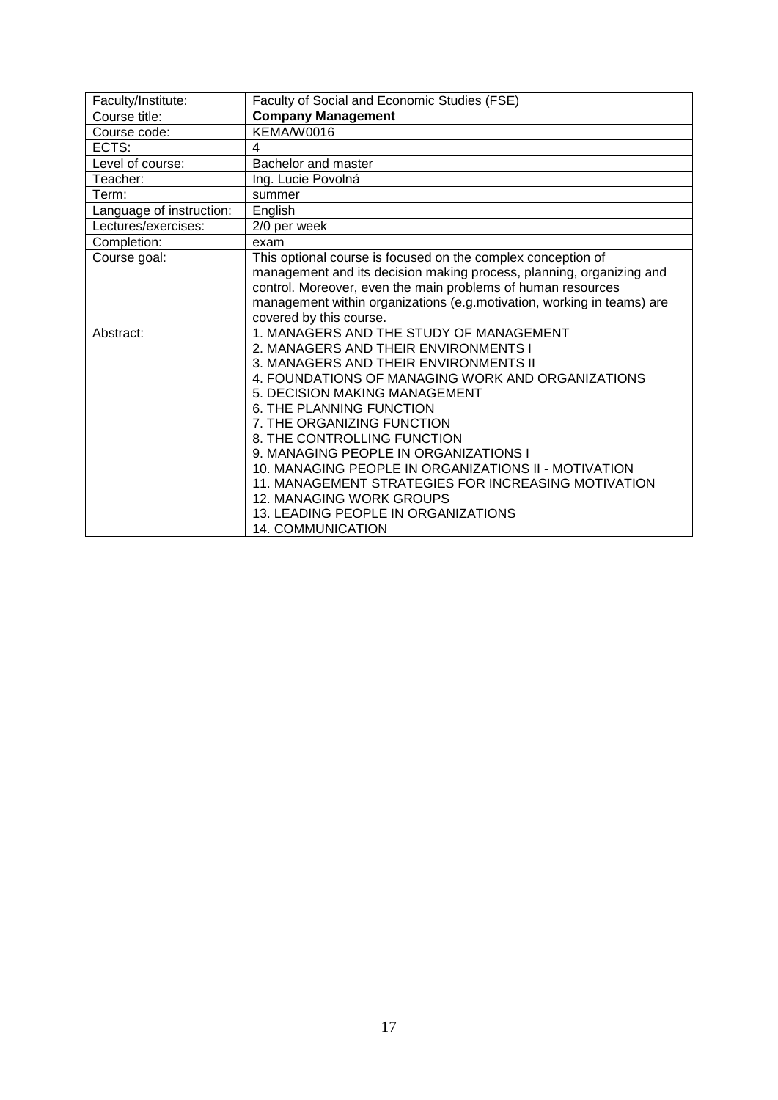<span id="page-16-0"></span>

| Faculty/Institute:       | Faculty of Social and Economic Studies (FSE)                           |
|--------------------------|------------------------------------------------------------------------|
| Course title:            | <b>Company Management</b>                                              |
| Course code:             | KEMA/W0016                                                             |
| ECTS:                    | 4                                                                      |
| Level of course:         | Bachelor and master                                                    |
| Teacher:                 | Ing. Lucie Povolná                                                     |
| Term:                    | summer                                                                 |
| Language of instruction: | English                                                                |
| Lectures/exercises:      | 2/0 per week                                                           |
| Completion:              | exam                                                                   |
| Course goal:             | This optional course is focused on the complex conception of           |
|                          | management and its decision making process, planning, organizing and   |
|                          | control. Moreover, even the main problems of human resources           |
|                          | management within organizations (e.g.motivation, working in teams) are |
|                          | covered by this course.                                                |
| Abstract:                | 1. MANAGERS AND THE STUDY OF MANAGEMENT                                |
|                          | 2. MANAGERS AND THEIR ENVIRONMENTS I                                   |
|                          | 3. MANAGERS AND THEIR ENVIRONMENTS II                                  |
|                          | 4. FOUNDATIONS OF MANAGING WORK AND ORGANIZATIONS                      |
|                          | 5. DECISION MAKING MANAGEMENT                                          |
|                          | 6. THE PLANNING FUNCTION                                               |
|                          | 7. THE ORGANIZING FUNCTION                                             |
|                          | 8. THE CONTROLLING FUNCTION                                            |
|                          | 9. MANAGING PEOPLE IN ORGANIZATIONS I                                  |
|                          | 10. MANAGING PEOPLE IN ORGANIZATIONS II - MOTIVATION                   |
|                          | 11. MANAGEMENT STRATEGIES FOR INCREASING MOTIVATION                    |
|                          | 12. MANAGING WORK GROUPS                                               |
|                          | 13. LEADING PEOPLE IN ORGANIZATIONS                                    |
|                          | <b>14. COMMUNICATION</b>                                               |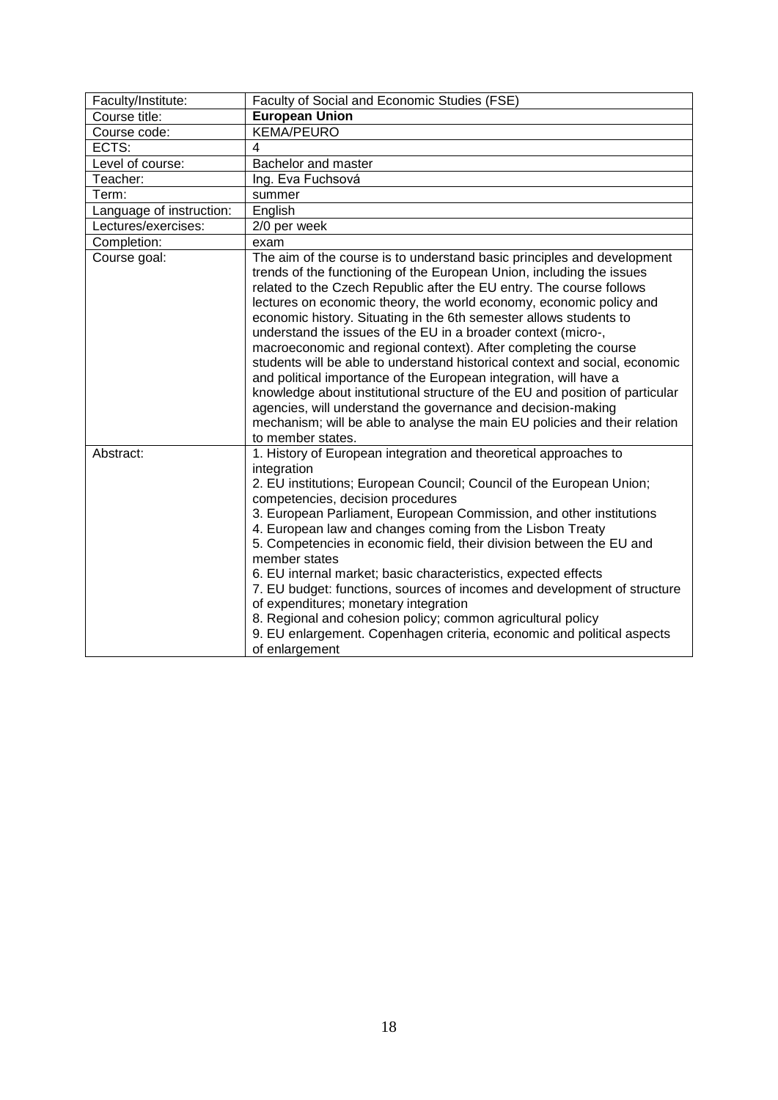<span id="page-17-0"></span>

| Faculty/Institute:       | Faculty of Social and Economic Studies (FSE)                                                                                                                                                                                                                                                                                                                                                                                                                                                                                                                                                                                                                                                                                                                                                                                                                                                                      |
|--------------------------|-------------------------------------------------------------------------------------------------------------------------------------------------------------------------------------------------------------------------------------------------------------------------------------------------------------------------------------------------------------------------------------------------------------------------------------------------------------------------------------------------------------------------------------------------------------------------------------------------------------------------------------------------------------------------------------------------------------------------------------------------------------------------------------------------------------------------------------------------------------------------------------------------------------------|
| Course title:            | <b>European Union</b>                                                                                                                                                                                                                                                                                                                                                                                                                                                                                                                                                                                                                                                                                                                                                                                                                                                                                             |
| Course code:             | <b>KEMA/PEURO</b>                                                                                                                                                                                                                                                                                                                                                                                                                                                                                                                                                                                                                                                                                                                                                                                                                                                                                                 |
| ECTS:                    | 4                                                                                                                                                                                                                                                                                                                                                                                                                                                                                                                                                                                                                                                                                                                                                                                                                                                                                                                 |
| Level of course:         | Bachelor and master                                                                                                                                                                                                                                                                                                                                                                                                                                                                                                                                                                                                                                                                                                                                                                                                                                                                                               |
| Teacher:                 | Ing. Eva Fuchsová                                                                                                                                                                                                                                                                                                                                                                                                                                                                                                                                                                                                                                                                                                                                                                                                                                                                                                 |
| Term:                    | summer                                                                                                                                                                                                                                                                                                                                                                                                                                                                                                                                                                                                                                                                                                                                                                                                                                                                                                            |
| Language of instruction: | English                                                                                                                                                                                                                                                                                                                                                                                                                                                                                                                                                                                                                                                                                                                                                                                                                                                                                                           |
| Lectures/exercises:      | 2/0 per week                                                                                                                                                                                                                                                                                                                                                                                                                                                                                                                                                                                                                                                                                                                                                                                                                                                                                                      |
| Completion:              | exam                                                                                                                                                                                                                                                                                                                                                                                                                                                                                                                                                                                                                                                                                                                                                                                                                                                                                                              |
| Course goal:             | The aim of the course is to understand basic principles and development<br>trends of the functioning of the European Union, including the issues<br>related to the Czech Republic after the EU entry. The course follows<br>lectures on economic theory, the world economy, economic policy and<br>economic history. Situating in the 6th semester allows students to<br>understand the issues of the EU in a broader context (micro-,<br>macroeconomic and regional context). After completing the course<br>students will be able to understand historical context and social, economic<br>and political importance of the European integration, will have a<br>knowledge about institutional structure of the EU and position of particular<br>agencies, will understand the governance and decision-making<br>mechanism; will be able to analyse the main EU policies and their relation<br>to member states. |
| Abstract:                | 1. History of European integration and theoretical approaches to<br>integration<br>2. EU institutions; European Council; Council of the European Union;<br>competencies, decision procedures<br>3. European Parliament, European Commission, and other institutions<br>4. European law and changes coming from the Lisbon Treaty<br>5. Competencies in economic field, their division between the EU and<br>member states<br>6. EU internal market; basic characteristics, expected effects<br>7. EU budget: functions, sources of incomes and development of structure<br>of expenditures; monetary integration<br>8. Regional and cohesion policy; common agricultural policy<br>9. EU enlargement. Copenhagen criteria, economic and political aspects<br>of enlargement                                                                                                                                       |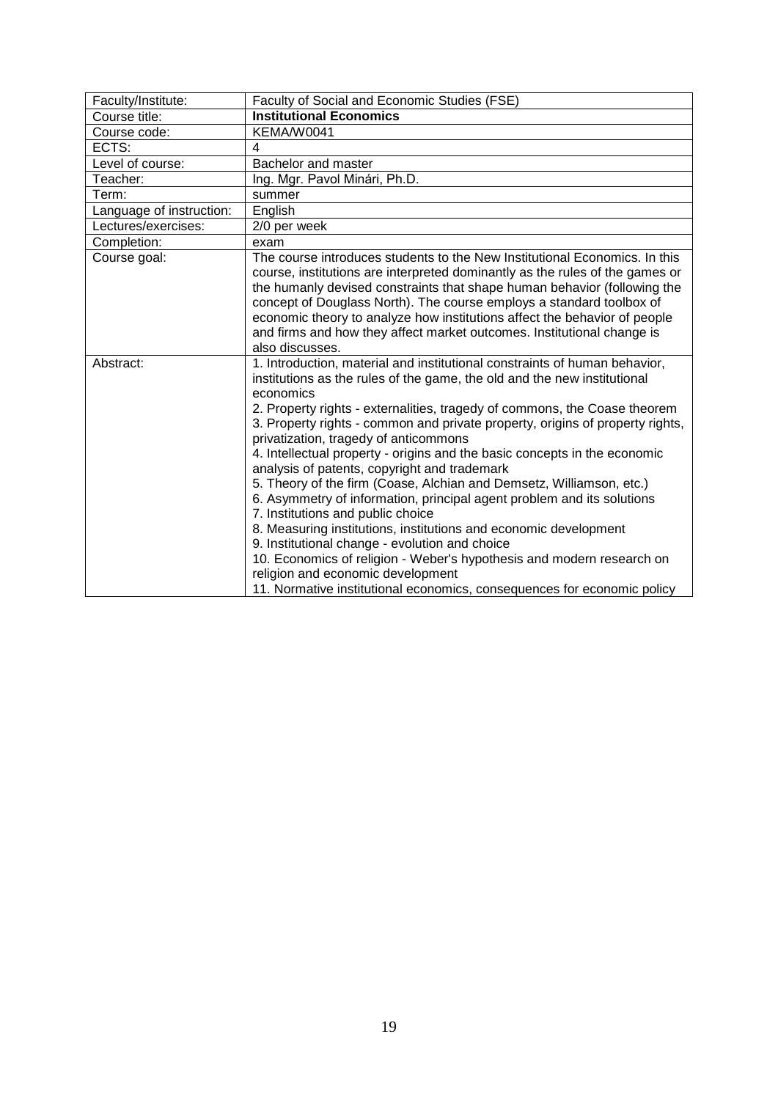<span id="page-18-0"></span>

| Faculty/Institute:       | Faculty of Social and Economic Studies (FSE)                                                                                                                                                                                                                                                                                                                                                                                                                                                                                                                                                                                                                                                                                                                                                                                                                                                                                                                                                                  |
|--------------------------|---------------------------------------------------------------------------------------------------------------------------------------------------------------------------------------------------------------------------------------------------------------------------------------------------------------------------------------------------------------------------------------------------------------------------------------------------------------------------------------------------------------------------------------------------------------------------------------------------------------------------------------------------------------------------------------------------------------------------------------------------------------------------------------------------------------------------------------------------------------------------------------------------------------------------------------------------------------------------------------------------------------|
| Course title:            | <b>Institutional Economics</b>                                                                                                                                                                                                                                                                                                                                                                                                                                                                                                                                                                                                                                                                                                                                                                                                                                                                                                                                                                                |
| Course code:             | KEMA/W0041                                                                                                                                                                                                                                                                                                                                                                                                                                                                                                                                                                                                                                                                                                                                                                                                                                                                                                                                                                                                    |
| ECTS:                    | 4                                                                                                                                                                                                                                                                                                                                                                                                                                                                                                                                                                                                                                                                                                                                                                                                                                                                                                                                                                                                             |
| Level of course:         | Bachelor and master                                                                                                                                                                                                                                                                                                                                                                                                                                                                                                                                                                                                                                                                                                                                                                                                                                                                                                                                                                                           |
| Teacher:                 | Ing. Mgr. Pavol Minári, Ph.D.                                                                                                                                                                                                                                                                                                                                                                                                                                                                                                                                                                                                                                                                                                                                                                                                                                                                                                                                                                                 |
| Term:                    | summer                                                                                                                                                                                                                                                                                                                                                                                                                                                                                                                                                                                                                                                                                                                                                                                                                                                                                                                                                                                                        |
| Language of instruction: | English                                                                                                                                                                                                                                                                                                                                                                                                                                                                                                                                                                                                                                                                                                                                                                                                                                                                                                                                                                                                       |
| Lectures/exercises:      | 2/0 per week                                                                                                                                                                                                                                                                                                                                                                                                                                                                                                                                                                                                                                                                                                                                                                                                                                                                                                                                                                                                  |
| Completion:              | exam                                                                                                                                                                                                                                                                                                                                                                                                                                                                                                                                                                                                                                                                                                                                                                                                                                                                                                                                                                                                          |
| Course goal:             | The course introduces students to the New Institutional Economics. In this<br>course, institutions are interpreted dominantly as the rules of the games or<br>the humanly devised constraints that shape human behavior (following the<br>concept of Douglass North). The course employs a standard toolbox of<br>economic theory to analyze how institutions affect the behavior of people<br>and firms and how they affect market outcomes. Institutional change is<br>also discusses.                                                                                                                                                                                                                                                                                                                                                                                                                                                                                                                      |
| Abstract:                | 1. Introduction, material and institutional constraints of human behavior,<br>institutions as the rules of the game, the old and the new institutional<br>economics<br>2. Property rights - externalities, tragedy of commons, the Coase theorem<br>3. Property rights - common and private property, origins of property rights,<br>privatization, tragedy of anticommons<br>4. Intellectual property - origins and the basic concepts in the economic<br>analysis of patents, copyright and trademark<br>5. Theory of the firm (Coase, Alchian and Demsetz, Williamson, etc.)<br>6. Asymmetry of information, principal agent problem and its solutions<br>7. Institutions and public choice<br>8. Measuring institutions, institutions and economic development<br>9. Institutional change - evolution and choice<br>10. Economics of religion - Weber's hypothesis and modern research on<br>religion and economic development<br>11. Normative institutional economics, consequences for economic policy |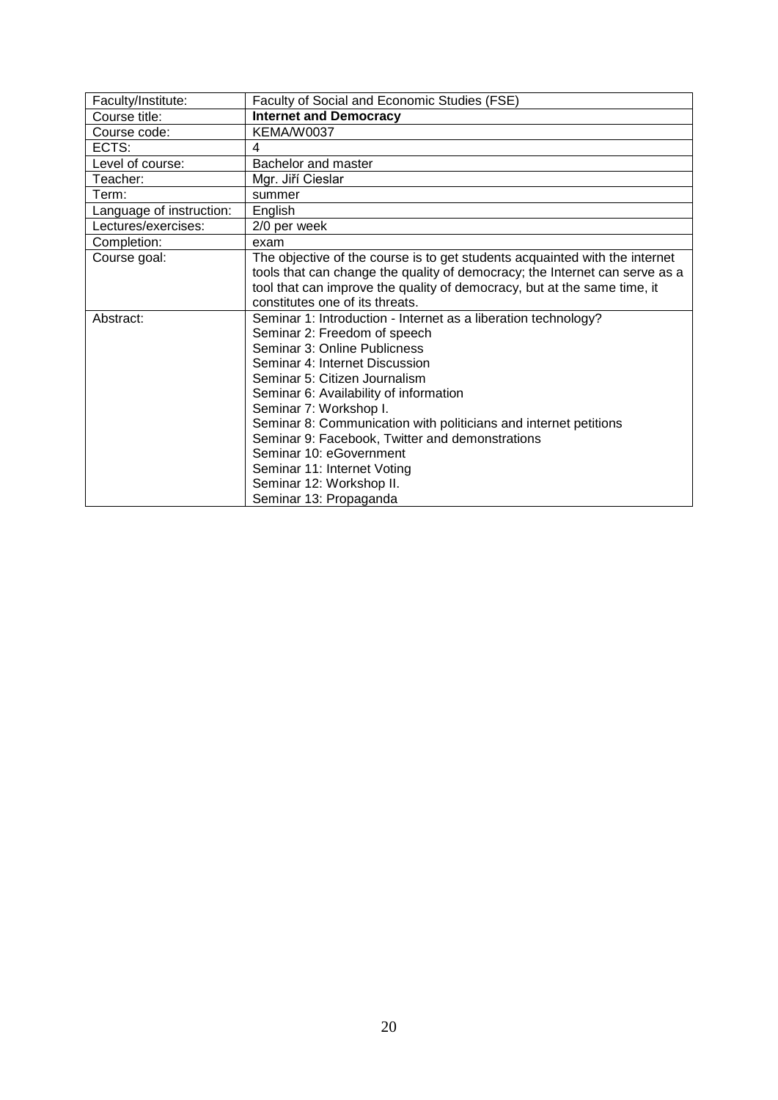<span id="page-19-0"></span>

| Faculty/Institute:       | Faculty of Social and Economic Studies (FSE)                                |
|--------------------------|-----------------------------------------------------------------------------|
| Course title:            | <b>Internet and Democracy</b>                                               |
| Course code:             | KEMA/W0037                                                                  |
| ECTS:                    | 4                                                                           |
| Level of course:         | Bachelor and master                                                         |
| Teacher:                 | Mgr. Jiří Cieslar                                                           |
| Term:                    | summer                                                                      |
| Language of instruction: | English                                                                     |
| Lectures/exercises:      | 2/0 per week                                                                |
| Completion:              | exam                                                                        |
| Course goal:             | The objective of the course is to get students acquainted with the internet |
|                          | tools that can change the quality of democracy; the Internet can serve as a |
|                          | tool that can improve the quality of democracy, but at the same time, it    |
|                          | constitutes one of its threats.                                             |
| Abstract:                | Seminar 1: Introduction - Internet as a liberation technology?              |
|                          | Seminar 2: Freedom of speech                                                |
|                          | Seminar 3: Online Publicness                                                |
|                          | Seminar 4: Internet Discussion                                              |
|                          | Seminar 5: Citizen Journalism                                               |
|                          | Seminar 6: Availability of information                                      |
|                          | Seminar 7: Workshop I.                                                      |
|                          | Seminar 8: Communication with politicians and internet petitions            |
|                          | Seminar 9: Facebook, Twitter and demonstrations                             |
|                          | Seminar 10: eGovernment                                                     |
|                          | Seminar 11: Internet Voting                                                 |
|                          | Seminar 12: Workshop II.                                                    |
|                          | Seminar 13: Propaganda                                                      |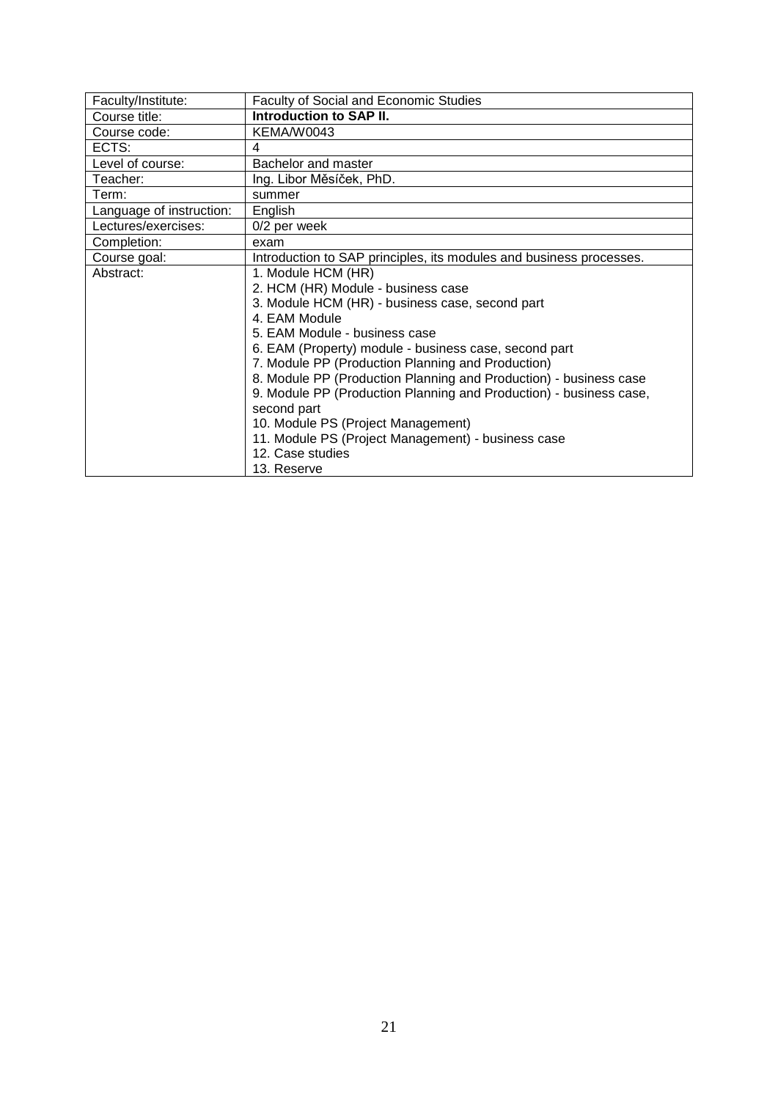<span id="page-20-0"></span>

| Faculty/Institute:       | Faculty of Social and Economic Studies                              |
|--------------------------|---------------------------------------------------------------------|
| Course title:            | <b>Introduction to SAP II.</b>                                      |
| Course code:             | KEMA/W0043                                                          |
| ECTS:                    | 4                                                                   |
| Level of course:         | Bachelor and master                                                 |
| Teacher:                 | Ing. Libor Měsíček, PhD.                                            |
| Term:                    | summer                                                              |
| Language of instruction: | English                                                             |
| Lectures/exercises:      | 0/2 per week                                                        |
| Completion:              | exam                                                                |
| Course goal:             | Introduction to SAP principles, its modules and business processes. |
| Abstract:                | 1. Module HCM (HR)                                                  |
|                          | 2. HCM (HR) Module - business case                                  |
|                          | 3. Module HCM (HR) - business case, second part                     |
|                          | 4. EAM Module                                                       |
|                          | 5. EAM Module - business case                                       |
|                          | 6. EAM (Property) module - business case, second part               |
|                          | 7. Module PP (Production Planning and Production)                   |
|                          | 8. Module PP (Production Planning and Production) - business case   |
|                          | 9. Module PP (Production Planning and Production) - business case,  |
|                          | second part                                                         |
|                          | 10. Module PS (Project Management)                                  |
|                          | 11. Module PS (Project Management) - business case                  |
|                          | 12. Case studies                                                    |
|                          | 13. Reserve                                                         |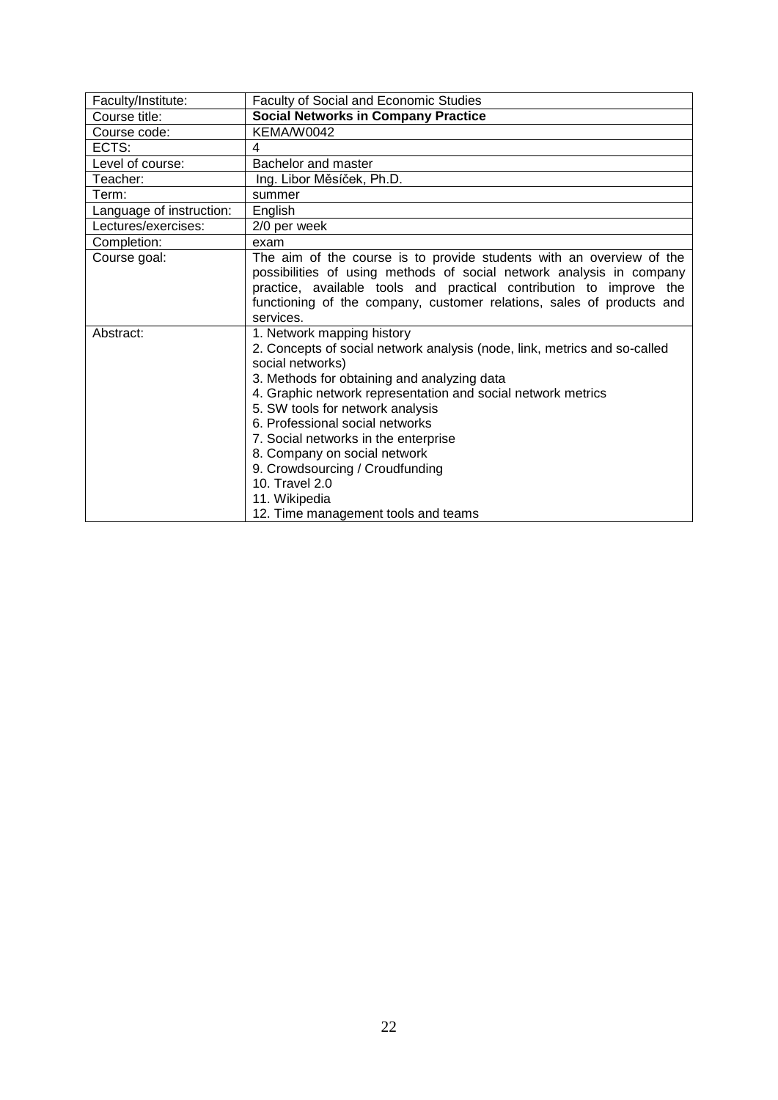<span id="page-21-0"></span>

| Faculty/Institute:       | <b>Faculty of Social and Economic Studies</b>                             |
|--------------------------|---------------------------------------------------------------------------|
| Course title:            | <b>Social Networks in Company Practice</b>                                |
| Course code:             | KEMA/W0042                                                                |
| ECTS:                    | 4                                                                         |
| Level of course:         | Bachelor and master                                                       |
| Teacher:                 | Ing. Libor Měsíček, Ph.D.                                                 |
| Term:                    | summer                                                                    |
| Language of instruction: | English                                                                   |
| Lectures/exercises:      | 2/0 per week                                                              |
| Completion:              | exam                                                                      |
| Course goal:             | The aim of the course is to provide students with an overview of the      |
|                          | possibilities of using methods of social network analysis in company      |
|                          | practice, available tools and practical contribution to improve the       |
|                          | functioning of the company, customer relations, sales of products and     |
|                          | services.                                                                 |
| Abstract:                | 1. Network mapping history                                                |
|                          | 2. Concepts of social network analysis (node, link, metrics and so-called |
|                          | social networks)                                                          |
|                          | 3. Methods for obtaining and analyzing data                               |
|                          | 4. Graphic network representation and social network metrics              |
|                          | 5. SW tools for network analysis                                          |
|                          | 6. Professional social networks                                           |
|                          | 7. Social networks in the enterprise                                      |
|                          | 8. Company on social network                                              |
|                          | 9. Crowdsourcing / Croudfunding                                           |
|                          | 10. Travel 2.0                                                            |
|                          | 11. Wikipedia                                                             |
|                          | 12. Time management tools and teams                                       |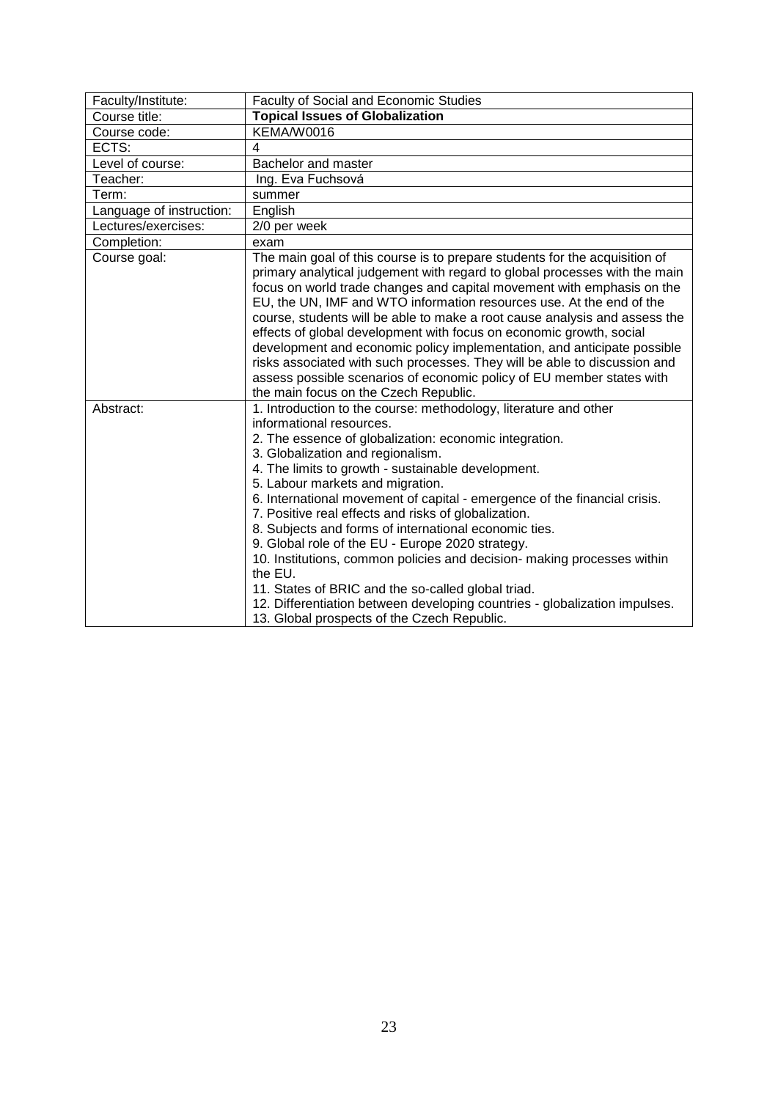<span id="page-22-0"></span>

| Faculty/Institute:       | <b>Faculty of Social and Economic Studies</b>                                                                                                                                                                                                                                                                                                                                                                                                                                                                                                                                                                                                                                                                                                                                                                    |
|--------------------------|------------------------------------------------------------------------------------------------------------------------------------------------------------------------------------------------------------------------------------------------------------------------------------------------------------------------------------------------------------------------------------------------------------------------------------------------------------------------------------------------------------------------------------------------------------------------------------------------------------------------------------------------------------------------------------------------------------------------------------------------------------------------------------------------------------------|
| Course title:            | <b>Topical Issues of Globalization</b>                                                                                                                                                                                                                                                                                                                                                                                                                                                                                                                                                                                                                                                                                                                                                                           |
| Course code:             | KEMA/W0016                                                                                                                                                                                                                                                                                                                                                                                                                                                                                                                                                                                                                                                                                                                                                                                                       |
| ECTS:                    | 4                                                                                                                                                                                                                                                                                                                                                                                                                                                                                                                                                                                                                                                                                                                                                                                                                |
| Level of course:         | Bachelor and master                                                                                                                                                                                                                                                                                                                                                                                                                                                                                                                                                                                                                                                                                                                                                                                              |
| Teacher:                 | Ing. Eva Fuchsová                                                                                                                                                                                                                                                                                                                                                                                                                                                                                                                                                                                                                                                                                                                                                                                                |
| Term:                    | summer                                                                                                                                                                                                                                                                                                                                                                                                                                                                                                                                                                                                                                                                                                                                                                                                           |
| Language of instruction: | English                                                                                                                                                                                                                                                                                                                                                                                                                                                                                                                                                                                                                                                                                                                                                                                                          |
| Lectures/exercises:      | 2/0 per week                                                                                                                                                                                                                                                                                                                                                                                                                                                                                                                                                                                                                                                                                                                                                                                                     |
| Completion:              | exam                                                                                                                                                                                                                                                                                                                                                                                                                                                                                                                                                                                                                                                                                                                                                                                                             |
| Course goal:             | The main goal of this course is to prepare students for the acquisition of<br>primary analytical judgement with regard to global processes with the main<br>focus on world trade changes and capital movement with emphasis on the<br>EU, the UN, IMF and WTO information resources use. At the end of the<br>course, students will be able to make a root cause analysis and assess the<br>effects of global development with focus on economic growth, social<br>development and economic policy implementation, and anticipate possible<br>risks associated with such processes. They will be able to discussion and<br>assess possible scenarios of economic policy of EU member states with<br>the main focus on the Czech Republic.                                                                        |
| Abstract:                | 1. Introduction to the course: methodology, literature and other<br>informational resources.<br>2. The essence of globalization: economic integration.<br>3. Globalization and regionalism.<br>4. The limits to growth - sustainable development.<br>5. Labour markets and migration.<br>6. International movement of capital - emergence of the financial crisis.<br>7. Positive real effects and risks of globalization.<br>8. Subjects and forms of international economic ties.<br>9. Global role of the EU - Europe 2020 strategy.<br>10. Institutions, common policies and decision- making processes within<br>the EU.<br>11. States of BRIC and the so-called global triad.<br>12. Differentiation between developing countries - globalization impulses.<br>13. Global prospects of the Czech Republic. |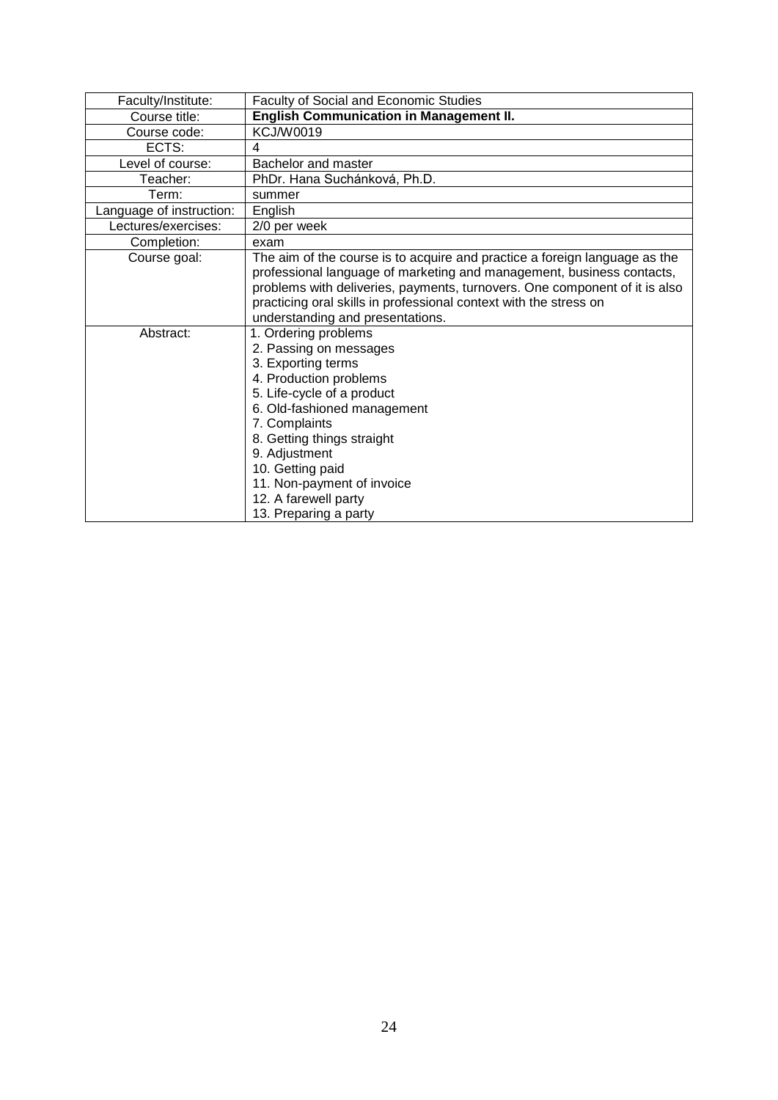<span id="page-23-0"></span>

| Faculty/Institute:       | <b>Faculty of Social and Economic Studies</b>                              |
|--------------------------|----------------------------------------------------------------------------|
| Course title:            | <b>English Communication in Management II.</b>                             |
| Course code:             | <b>KCJ/W0019</b>                                                           |
| ECTS:                    | 4                                                                          |
| Level of course:         | Bachelor and master                                                        |
| Teacher:                 | PhDr. Hana Suchánková, Ph.D.                                               |
| Term:                    | summer                                                                     |
| Language of instruction: | English                                                                    |
| Lectures/exercises:      | 2/0 per week                                                               |
| Completion:              | exam                                                                       |
| Course goal:             | The aim of the course is to acquire and practice a foreign language as the |
|                          | professional language of marketing and management, business contacts,      |
|                          | problems with deliveries, payments, turnovers. One component of it is also |
|                          | practicing oral skills in professional context with the stress on          |
|                          | understanding and presentations.                                           |
| Abstract:                | 1. Ordering problems                                                       |
|                          | 2. Passing on messages                                                     |
|                          | 3. Exporting terms                                                         |
|                          | 4. Production problems                                                     |
|                          | 5. Life-cycle of a product                                                 |
|                          | 6. Old-fashioned management                                                |
|                          | 7. Complaints                                                              |
|                          | 8. Getting things straight                                                 |
|                          | 9. Adjustment                                                              |
|                          | 10. Getting paid                                                           |
|                          | 11. Non-payment of invoice                                                 |
|                          | 12. A farewell party                                                       |
|                          | 13. Preparing a party                                                      |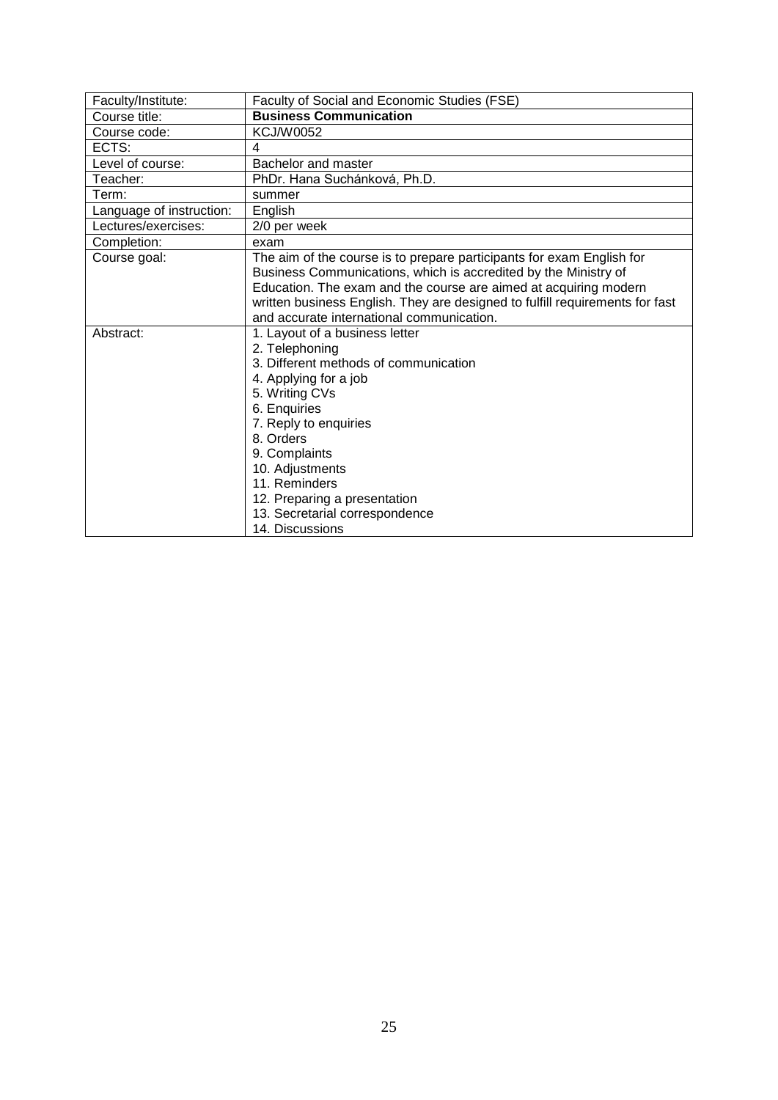<span id="page-24-0"></span>

| Faculty/Institute:       | Faculty of Social and Economic Studies (FSE)                                                                                             |
|--------------------------|------------------------------------------------------------------------------------------------------------------------------------------|
| Course title:            | <b>Business Communication</b>                                                                                                            |
| Course code:             | <b>KCJ/W0052</b>                                                                                                                         |
| ECTS:                    | 4                                                                                                                                        |
| Level of course:         | Bachelor and master                                                                                                                      |
| Teacher:                 | PhDr. Hana Suchánková, Ph.D.                                                                                                             |
| Term:                    | summer                                                                                                                                   |
| Language of instruction: | English                                                                                                                                  |
| Lectures/exercises:      | 2/0 per week                                                                                                                             |
| Completion:              | exam                                                                                                                                     |
| Course goal:             | The aim of the course is to prepare participants for exam English for<br>Business Communications, which is accredited by the Ministry of |
|                          | Education. The exam and the course are aimed at acquiring modern                                                                         |
|                          | written business English. They are designed to fulfill requirements for fast                                                             |
|                          | and accurate international communication.                                                                                                |
| Abstract:                | 1. Layout of a business letter                                                                                                           |
|                          | 2. Telephoning                                                                                                                           |
|                          | 3. Different methods of communication                                                                                                    |
|                          | 4. Applying for a job                                                                                                                    |
|                          | 5. Writing CVs                                                                                                                           |
|                          | 6. Enquiries                                                                                                                             |
|                          | 7. Reply to enquiries                                                                                                                    |
|                          | 8. Orders                                                                                                                                |
|                          | 9. Complaints                                                                                                                            |
|                          | 10. Adjustments                                                                                                                          |
|                          | 11. Reminders                                                                                                                            |
|                          | 12. Preparing a presentation                                                                                                             |
|                          | 13. Secretarial correspondence                                                                                                           |
|                          | 14. Discussions                                                                                                                          |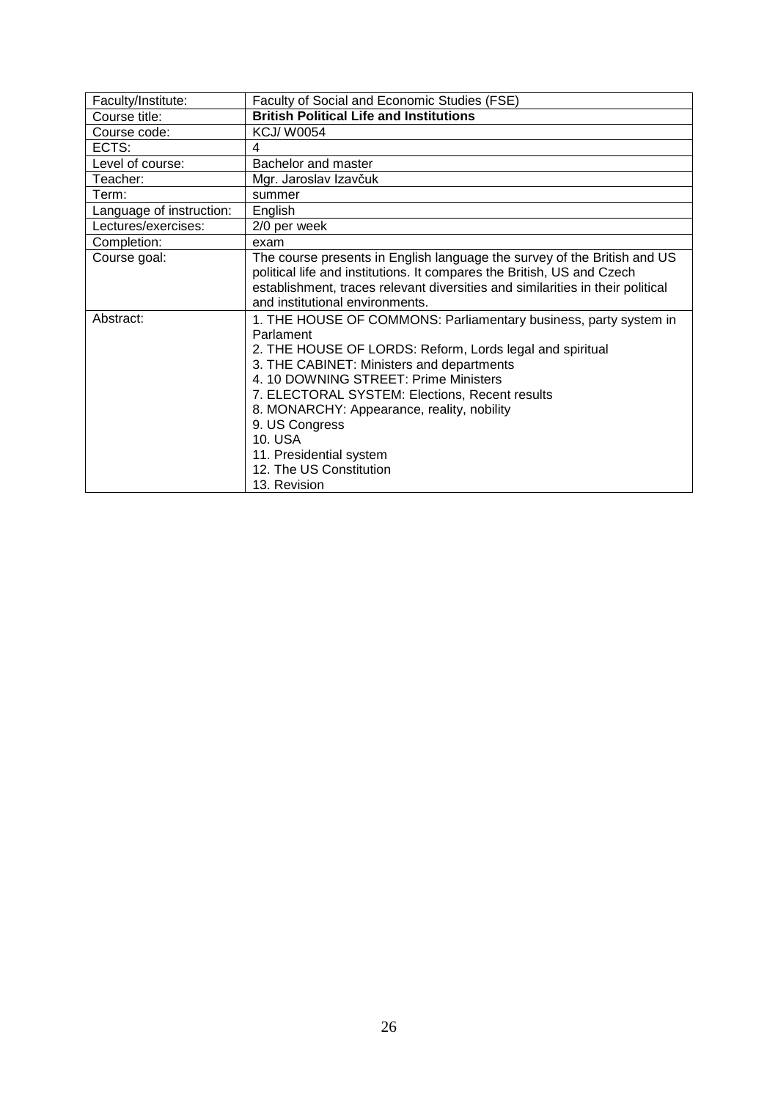<span id="page-25-0"></span>

| Faculty/Institute:       | Faculty of Social and Economic Studies (FSE)                                                                                                                                                                                                                                                                                                                                                                                       |
|--------------------------|------------------------------------------------------------------------------------------------------------------------------------------------------------------------------------------------------------------------------------------------------------------------------------------------------------------------------------------------------------------------------------------------------------------------------------|
| Course title:            | <b>British Political Life and Institutions</b>                                                                                                                                                                                                                                                                                                                                                                                     |
| Course code:             | KCJ/W0054                                                                                                                                                                                                                                                                                                                                                                                                                          |
| ECTS:                    | 4                                                                                                                                                                                                                                                                                                                                                                                                                                  |
| Level of course:         | Bachelor and master                                                                                                                                                                                                                                                                                                                                                                                                                |
| Teacher:                 | Mgr. Jaroslav Izavčuk                                                                                                                                                                                                                                                                                                                                                                                                              |
| Term:                    | summer                                                                                                                                                                                                                                                                                                                                                                                                                             |
| Language of instruction: | English                                                                                                                                                                                                                                                                                                                                                                                                                            |
| Lectures/exercises:      | 2/0 per week                                                                                                                                                                                                                                                                                                                                                                                                                       |
| Completion:              | exam                                                                                                                                                                                                                                                                                                                                                                                                                               |
| Course goal:             | The course presents in English language the survey of the British and US<br>political life and institutions. It compares the British, US and Czech<br>establishment, traces relevant diversities and similarities in their political<br>and institutional environments.                                                                                                                                                            |
| Abstract:                | 1. THE HOUSE OF COMMONS: Parliamentary business, party system in<br>Parlament<br>2. THE HOUSE OF LORDS: Reform, Lords legal and spiritual<br>3. THE CABINET: Ministers and departments<br>4. 10 DOWNING STREET: Prime Ministers<br>7. ELECTORAL SYSTEM: Elections, Recent results<br>8. MONARCHY: Appearance, reality, nobility<br>9. US Congress<br>10. USA<br>11. Presidential system<br>12. The US Constitution<br>13. Revision |